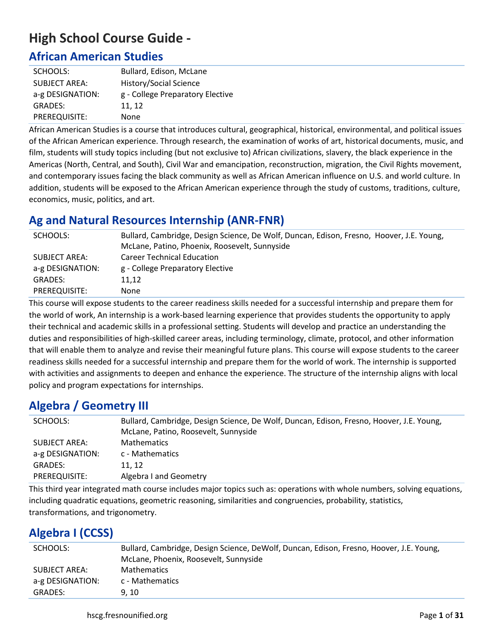# **High School Course Guide -**

## **African American Studies**

| SCHOOLS:             | Bullard, Edison, McLane          |
|----------------------|----------------------------------|
| <b>SUBJECT AREA:</b> | History/Social Science           |
| a-g DESIGNATION:     | g - College Preparatory Elective |
| <b>GRADES:</b>       | 11, 12                           |
| PREREQUISITE:        | None                             |

African American Studies is a course that introduces cultural, geographical, historical, environmental, and political issues of the African American experience. Through research, the examination of works of art, historical documents, music, and film, students will study topics including (but not exclusive to) African civilizations, slavery, the black experience in the Americas (North, Central, and South), Civil War and emancipation, reconstruction, migration, the Civil Rights movement, and contemporary issues facing the black community as well as African American influence on U.S. and world culture. In addition, students will be exposed to the African American experience through the study of customs, traditions, culture, economics, music, politics, and art.

# **Ag and Natural Resources Internship (ANR-FNR)**

| SCHOOLS:         | Bullard, Cambridge, Design Science, De Wolf, Duncan, Edison, Fresno, Hoover, J.E. Young, |
|------------------|------------------------------------------------------------------------------------------|
|                  | McLane, Patino, Phoenix, Roosevelt, Sunnyside                                            |
| SUBJECT AREA:    | <b>Career Technical Education</b>                                                        |
| a-g DESIGNATION: | g - College Preparatory Elective                                                         |
| <b>GRADES:</b>   | 11.12                                                                                    |
| PREREQUISITE:    | None                                                                                     |

This course will expose students to the career readiness skills needed for a successful internship and prepare them for the world of work, An internship is a work-based learning experience that provides students the opportunity to apply their technical and academic skills in a professional setting. Students will develop and practice an understanding the duties and responsibilities of high-skilled career areas, including terminology, climate, protocol, and other information that will enable them to analyze and revise their meaningful future plans. This course will expose students to the career readiness skills needed for a successful internship and prepare them for the world of work. The internship is supported with activities and assignments to deepen and enhance the experience. The structure of the internship aligns with local policy and program expectations for internships.

## **Algebra / Geometry III**

| SCHOOLS:         | Bullard, Cambridge, Design Science, De Wolf, Duncan, Edison, Fresno, Hoover, J.E. Young, |  |
|------------------|------------------------------------------------------------------------------------------|--|
|                  | McLane, Patino, Roosevelt, Sunnyside                                                     |  |
| SUBJECT AREA:    | <b>Mathematics</b>                                                                       |  |
| a-g DESIGNATION: | c - Mathematics                                                                          |  |
| GRADES:          | 11.12                                                                                    |  |
| PREREQUISITE:    | Algebra I and Geometry                                                                   |  |

This third year integrated math course includes major topics such as: operations with whole numbers, solving equations, including quadratic equations, geometric reasoning, similarities and congruencies, probability, statistics, transformations, and trigonometry.

# **Algebra I (CCSS)**

| SCHOOLS:         | Bullard, Cambridge, Design Science, DeWolf, Duncan, Edison, Fresno, Hoover, J.E. Young,<br>McLane, Phoenix, Roosevelt, Sunnyside |
|------------------|----------------------------------------------------------------------------------------------------------------------------------|
| SUBJECT AREA:    | <b>Mathematics</b>                                                                                                               |
| a-g DESIGNATION: | c - Mathematics                                                                                                                  |
| <b>GRADES:</b>   | 9.10                                                                                                                             |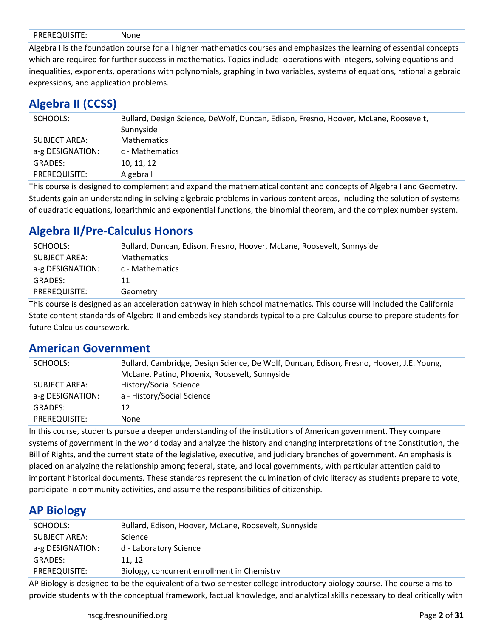|--|--|--|

Algebra I is the foundation course for all higher mathematics courses and emphasizes the learning of essential concepts which are required for further success in mathematics. Topics include: operations with integers, solving equations and inequalities, exponents, operations with polynomials, graphing in two variables, systems of equations, rational algebraic expressions, and application problems.

#### **Algebra II (CCSS)**

| SCHOOLS:             | Bullard, Design Science, DeWolf, Duncan, Edison, Fresno, Hoover, McLane, Roosevelt,<br>Sunnyside |
|----------------------|--------------------------------------------------------------------------------------------------|
| <b>SUBJECT AREA:</b> | <b>Mathematics</b>                                                                               |
| a-g DESIGNATION:     | c - Mathematics                                                                                  |
| GRADES:              | 10, 11, 12                                                                                       |
| PREREQUISITE:        | Algebra I                                                                                        |

This course is designed to complement and expand the mathematical content and concepts of Algebra I and Geometry. Students gain an understanding in solving algebraic problems in various content areas, including the solution of systems of quadratic equations, logarithmic and exponential functions, the binomial theorem, and the complex number system.

## **Algebra II/Pre-Calculus Honors**

| SCHOOLS:             | Bullard, Duncan, Edison, Fresno, Hoover, McLane, Roosevelt, Sunnyside |
|----------------------|-----------------------------------------------------------------------|
| <b>SUBJECT AREA:</b> | <b>Mathematics</b>                                                    |
| a-g DESIGNATION:     | c - Mathematics                                                       |
| GRADES:              | 11                                                                    |
| PREREQUISITE:        | Geometry                                                              |

This course is designed as an acceleration pathway in high school mathematics. This course will included the California State content standards of Algebra II and embeds key standards typical to a pre-Calculus course to prepare students for future Calculus coursework.

#### **American Government**

| SCHOOLS:         | Bullard, Cambridge, Design Science, De Wolf, Duncan, Edison, Fresno, Hoover, J.E. Young, |
|------------------|------------------------------------------------------------------------------------------|
|                  | McLane, Patino, Phoenix, Roosevelt, Sunnyside                                            |
| SUBJECT AREA:    | History/Social Science                                                                   |
| a-g DESIGNATION: | a - History/Social Science                                                               |
| <b>GRADES:</b>   | 12                                                                                       |
| PREREQUISITE:    | None                                                                                     |

In this course, students pursue a deeper understanding of the institutions of American government. They compare systems of government in the world today and analyze the history and changing interpretations of the Constitution, the Bill of Rights, and the current state of the legislative, executive, and judiciary branches of government. An emphasis is placed on analyzing the relationship among federal, state, and local governments, with particular attention paid to important historical documents. These standards represent the culmination of civic literacy as students prepare to vote, participate in community activities, and assume the responsibilities of citizenship.

## **AP Biology**

| SCHOOLS:         | Bullard, Edison, Hoover, McLane, Roosevelt, Sunnyside |
|------------------|-------------------------------------------------------|
| SUBJECT AREA:    | <b>Science</b>                                        |
| a-g DESIGNATION: | d - Laboratory Science                                |
| <b>GRADES:</b>   | 11.12                                                 |
| PREREQUISITE:    | Biology, concurrent enrollment in Chemistry           |
|                  |                                                       |

AP Biology is designed to be the equivalent of a two-semester college introductory biology course. The course aims to provide students with the conceptual framework, factual knowledge, and analytical skills necessary to deal critically with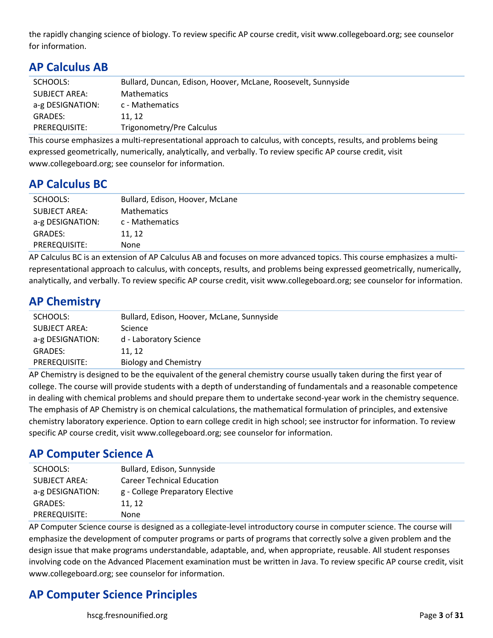the rapidly changing science of biology. To review specific AP course credit, visit www.collegeboard.org; see counselor for information.

| $\mathbf{u}$ cancaigo $\mathbf{u}$ |                                                               |
|------------------------------------|---------------------------------------------------------------|
| SCHOOLS:                           | Bullard, Duncan, Edison, Hoover, McLane, Roosevelt, Sunnyside |
| SUBJECT AREA:                      | <b>Mathematics</b>                                            |
| a-g DESIGNATION:                   | c - Mathematics                                               |
| GRADES:                            | 11.12                                                         |
| PREREQUISITE:                      | Trigonometry/Pre Calculus                                     |
|                                    |                                                               |

This course emphasizes a multi-representational approach to calculus, with concepts, results, and problems being expressed geometrically, numerically, analytically, and verbally. To review specific AP course credit, visit www.collegeboard.org; see counselor for information.

#### **AP Calculus BC**

**AP Calculus AB**

| SCHOOLS:         | Bullard, Edison, Hoover, McLane |
|------------------|---------------------------------|
| SUBJECT AREA:    | <b>Mathematics</b>              |
| a-g DESIGNATION: | c - Mathematics                 |
| <b>GRADES:</b>   | 11, 12                          |
| PREREQUISITE:    | None                            |

AP Calculus BC is an extension of AP Calculus AB and focuses on more advanced topics. This course emphasizes a multirepresentational approach to calculus, with concepts, results, and problems being expressed geometrically, numerically, analytically, and verbally. To review specific AP course credit, visit www.collegeboard.org; see counselor for information.

#### **AP Chemistry**

| SCHOOLS:             | Bullard, Edison, Hoover, McLane, Sunnyside |
|----------------------|--------------------------------------------|
| <b>SUBJECT AREA:</b> | Science                                    |
| a-g DESIGNATION:     | d - Laboratory Science                     |
| <b>GRADES:</b>       | 11.12                                      |
| PREREQUISITE:        | <b>Biology and Chemistry</b>               |
|                      |                                            |

AP Chemistry is designed to be the equivalent of the general chemistry course usually taken during the first year of college. The course will provide students with a depth of understanding of fundamentals and a reasonable competence in dealing with chemical problems and should prepare them to undertake second-year work in the chemistry sequence. The emphasis of AP Chemistry is on chemical calculations, the mathematical formulation of principles, and extensive chemistry laboratory experience. Option to earn college credit in high school; see instructor for information. To review specific AP course credit, visit www.collegeboard.org; see counselor for information.

#### **AP Computer Science A**

| SCHOOLS:             | Bullard, Edison, Sunnyside        |
|----------------------|-----------------------------------|
| <b>SUBJECT AREA:</b> | <b>Career Technical Education</b> |
| a-g DESIGNATION:     | g - College Preparatory Elective  |
| <b>GRADES:</b>       | 11, 12                            |
| PREREQUISITE:        | None                              |

AP Computer Science course is designed as a collegiate-level introductory course in computer science. The course will emphasize the development of computer programs or parts of programs that correctly solve a given problem and the design issue that make programs understandable, adaptable, and, when appropriate, reusable. All student responses involving code on the Advanced Placement examination must be written in Java. To review specific AP course credit, visit www.collegeboard.org; see counselor for information.

# **AP Computer Science Principles**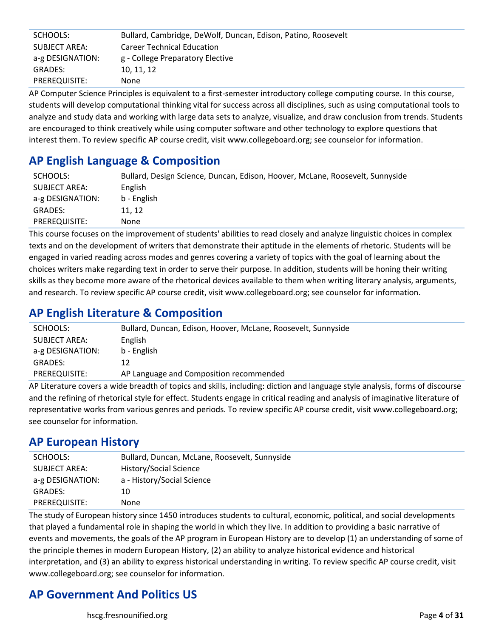| SCHOOLS:         | Bullard, Cambridge, DeWolf, Duncan, Edison, Patino, Roosevelt |
|------------------|---------------------------------------------------------------|
| SUBJECT AREA:    | <b>Career Technical Education</b>                             |
| a-g DESIGNATION: | g - College Preparatory Elective                              |
| GRADES:          | 10, 11, 12                                                    |
| PREREQUISITE:    | None.                                                         |

AP Computer Science Principles is equivalent to a first-semester introductory college computing course. In this course, students will develop computational thinking vital for success across all disciplines, such as using computational tools to analyze and study data and working with large data sets to analyze, visualize, and draw conclusion from trends. Students are encouraged to think creatively while using computer software and other technology to explore questions that interest them. To review specific AP course credit, visit www.collegeboard.org; see counselor for information.

## **AP English Language & Composition**

| SCHOOLS:             | Bullard, Design Science, Duncan, Edison, Hoover, McLane, Roosevelt, Sunnyside |
|----------------------|-------------------------------------------------------------------------------|
| <b>SUBJECT AREA:</b> | English                                                                       |
| a-g DESIGNATION:     | b - English                                                                   |
| GRADES:              | 11.12                                                                         |
| PREREQUISITE:        | None                                                                          |

This course focuses on the improvement of students' abilities to read closely and analyze linguistic choices in complex texts and on the development of writers that demonstrate their aptitude in the elements of rhetoric. Students will be engaged in varied reading across modes and genres covering a variety of topics with the goal of learning about the choices writers make regarding text in order to serve their purpose. In addition, students will be honing their writing skills as they become more aware of the rhetorical devices available to them when writing literary analysis, arguments, and research. To review specific AP course credit, visit www.collegeboard.org; see counselor for information.

# **AP English Literature & Composition**

| SCHOOLS:             | Bullard, Duncan, Edison, Hoover, McLane, Roosevelt, Sunnyside |
|----------------------|---------------------------------------------------------------|
| <b>SUBJECT AREA:</b> | English                                                       |
| a-g DESIGNATION:     | b - English                                                   |
| GRADES:              | 12                                                            |
| PREREQUISITE:        | AP Language and Composition recommended                       |

AP Literature covers a wide breadth of topics and skills, including: diction and language style analysis, forms of discourse and the refining of rhetorical style for effect. Students engage in critical reading and analysis of imaginative literature of representative works from various genres and periods. To review specific AP course credit, visit www.collegeboard.org; see counselor for information.

## **AP European History**

| SCHOOLS:             | Bullard, Duncan, McLane, Roosevelt, Sunnyside |
|----------------------|-----------------------------------------------|
| <b>SUBJECT AREA:</b> | History/Social Science                        |
| a-g DESIGNATION:     | a - History/Social Science                    |
| <b>GRADES:</b>       | 10                                            |
| PREREQUISITE:        | None                                          |

The study of European history since 1450 introduces students to cultural, economic, political, and social developments that played a fundamental role in shaping the world in which they live. In addition to providing a basic narrative of events and movements, the goals of the AP program in European History are to develop (1) an understanding of some of the principle themes in modern European History, (2) an ability to analyze historical evidence and historical interpretation, and (3) an ability to express historical understanding in writing. To review specific AP course credit, visit www.collegeboard.org; see counselor for information.

# **AP Government And Politics US**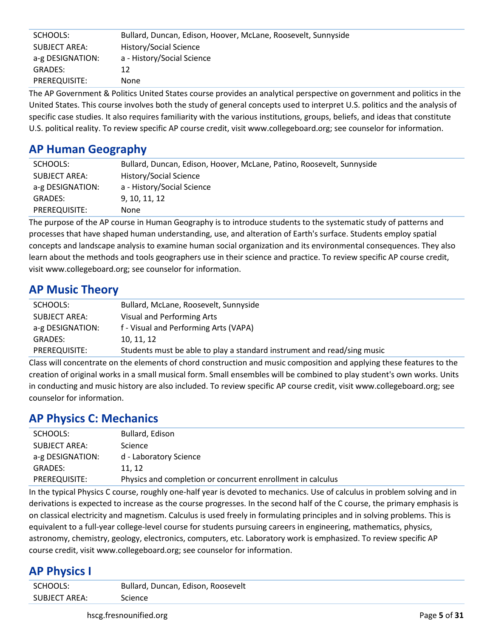| SCHOOLS:         | Bullard, Duncan, Edison, Hoover, McLane, Roosevelt, Sunnyside |
|------------------|---------------------------------------------------------------|
| SUBJECT AREA:    | History/Social Science                                        |
| a-g DESIGNATION: | a - History/Social Science                                    |
| <b>GRADES:</b>   | 12                                                            |
| PREREQUISITE:    | None                                                          |

The AP Government & Politics United States course provides an analytical perspective on government and politics in the United States. This course involves both the study of general concepts used to interpret U.S. politics and the analysis of specific case studies. It also requires familiarity with the various institutions, groups, beliefs, and ideas that constitute U.S. political reality. To review specific AP course credit, visit www.collegeboard.org; see counselor for information.

## **AP Human Geography**

| SCHOOLS:         | Bullard, Duncan, Edison, Hoover, McLane, Patino, Roosevelt, Sunnyside |
|------------------|-----------------------------------------------------------------------|
| SUBJECT AREA:    | <b>History/Social Science</b>                                         |
| a-g DESIGNATION: | a - History/Social Science                                            |
| GRADES:          | 9. 10. 11. 12                                                         |
| PREREQUISITE:    | None                                                                  |

The purpose of the AP course in Human Geography is to introduce students to the systematic study of patterns and processes that have shaped human understanding, use, and alteration of Earth's surface. Students employ spatial concepts and landscape analysis to examine human social organization and its environmental consequences. They also learn about the methods and tools geographers use in their science and practice. To review specific AP course credit, visit www.collegeboard.org; see counselor for information.

#### **AP Music Theory**

| SCHOOLS:         | Bullard, McLane, Roosevelt, Sunnyside                                   |
|------------------|-------------------------------------------------------------------------|
| SUBJECT AREA:    | Visual and Performing Arts                                              |
| a-g DESIGNATION: | f - Visual and Performing Arts (VAPA)                                   |
| <b>GRADES:</b>   | 10, 11, 12                                                              |
| PREREQUISITE:    | Students must be able to play a standard instrument and read/sing music |

Class will concentrate on the elements of chord construction and music composition and applying these features to the creation of original works in a small musical form. Small ensembles will be combined to play student's own works. Units in conducting and music history are also included. To review specific AP course credit, visit www.collegeboard.org; see counselor for information.

## **AP Physics C: Mechanics**

| SCHOOLS:         | Bullard, Edison                                             |
|------------------|-------------------------------------------------------------|
| SUBJECT AREA:    | <b>Science</b>                                              |
| a-g DESIGNATION: | d - Laboratory Science                                      |
| GRADES:          | 11.12                                                       |
| PREREQUISITE:    | Physics and completion or concurrent enrollment in calculus |
|                  |                                                             |

In the typical Physics C course, roughly one-half year is devoted to mechanics. Use of calculus in problem solving and in derivations is expected to increase as the course progresses. In the second half of the C course, the primary emphasis is on classical electricity and magnetism. Calculus is used freely in formulating principles and in solving problems. This is equivalent to a full-year college-level course for students pursuing careers in engineering, mathematics, physics, astronomy, chemistry, geology, electronics, computers, etc. Laboratory work is emphasized. To review specific AP course credit, visit www.collegeboard.org; see counselor for information.

#### **AP Physics I**

| SCHOOLS:             | Bullard, Duncan, Edison, Roosevelt |
|----------------------|------------------------------------|
| <b>SUBJECT AREA:</b> | Science                            |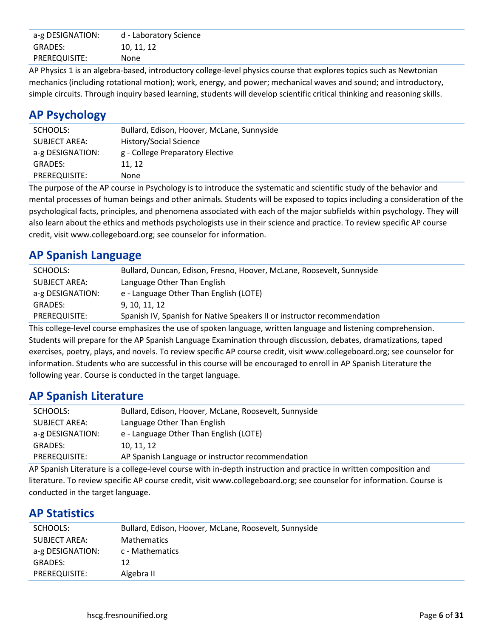| a-g DESIGNATION:     | d - Laboratory Science |
|----------------------|------------------------|
| GRADES:              | 10, 11, 12             |
| <b>PREREQUISITE:</b> | None                   |

AP Physics 1 is an algebra-based, introductory college-level physics course that explores topics such as Newtonian mechanics (including rotational motion); work, energy, and power; mechanical waves and sound; and introductory, simple circuits. Through inquiry based learning, students will develop scientific critical thinking and reasoning skills.

## **AP Psychology**

| SCHOOLS:             | Bullard, Edison, Hoover, McLane, Sunnyside |
|----------------------|--------------------------------------------|
| <b>SUBJECT AREA:</b> | History/Social Science                     |
| a-g DESIGNATION:     | g - College Preparatory Elective           |
| <b>GRADES:</b>       | 11.12                                      |
| PREREQUISITE:        | None                                       |

The purpose of the AP course in Psychology is to introduce the systematic and scientific study of the behavior and mental processes of human beings and other animals. Students will be exposed to topics including a consideration of the psychological facts, principles, and phenomena associated with each of the major subfields within psychology. They will also learn about the ethics and methods psychologists use in their science and practice. To review specific AP course credit, visit www.collegeboard.org; see counselor for information.

## **AP Spanish Language**

| SCHOOLS:             | Bullard, Duncan, Edison, Fresno, Hoover, McLane, Roosevelt, Sunnyside   |
|----------------------|-------------------------------------------------------------------------|
| <b>SUBJECT AREA:</b> | Language Other Than English                                             |
| a-g DESIGNATION:     | e - Language Other Than English (LOTE)                                  |
| GRADES:              | 9, 10, 11, 12                                                           |
| PREREQUISITE:        | Spanish IV, Spanish for Native Speakers II or instructor recommendation |
|                      |                                                                         |

This college-level course emphasizes the use of spoken language, written language and listening comprehension. Students will prepare for the AP Spanish Language Examination through discussion, debates, dramatizations, taped exercises, poetry, plays, and novels. To review specific AP course credit, visit www.collegeboard.org; see counselor for information. Students who are successful in this course will be encouraged to enroll in AP Spanish Literature the following year. Course is conducted in the target language.

#### **AP Spanish Literature**

| SCHOOLS:             | Bullard, Edison, Hoover, McLane, Roosevelt, Sunnyside |
|----------------------|-------------------------------------------------------|
| <b>SUBJECT AREA:</b> | Language Other Than English                           |
| a-g DESIGNATION:     | e - Language Other Than English (LOTE)                |
| GRADES:              | 10, 11, 12                                            |
| PREREQUISITE:        | AP Spanish Language or instructor recommendation      |

AP Spanish Literature is a college-level course with in-depth instruction and practice in written composition and literature. To review specific AP course credit, visit www.collegeboard.org; see counselor for information. Course is conducted in the target language.

#### **AP Statistics**

| SCHOOLS:         | Bullard, Edison, Hoover, McLane, Roosevelt, Sunnyside |
|------------------|-------------------------------------------------------|
| SUBJECT AREA:    | <b>Mathematics</b>                                    |
| a-g DESIGNATION: | c - Mathematics                                       |
| GRADES:          | 12                                                    |
| PREREQUISITE:    | Algebra II                                            |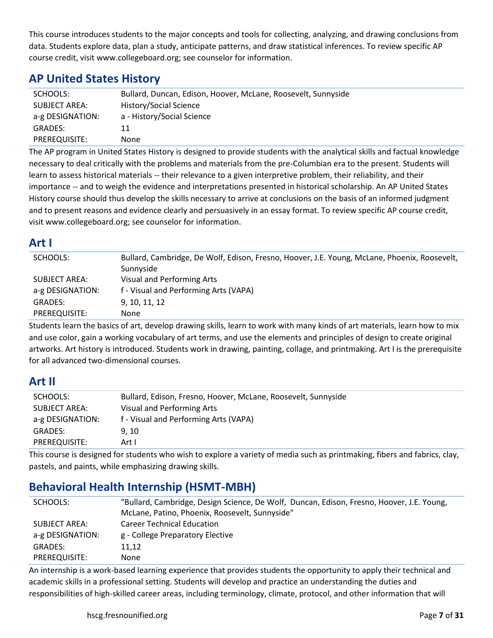This course introduces students to the major concepts and tools for collecting, analyzing, and drawing conclusions from data. Students explore data, plan a study, anticipate patterns, and draw statistical inferences. To review specific AP course credit, visit www.collegeboard.org; see counselor for information.

## **AP United States History**

| SCHOOLS:             | Bullard, Duncan, Edison, Hoover, McLane, Roosevelt, Sunnyside |
|----------------------|---------------------------------------------------------------|
| <b>SUBJECT AREA:</b> | History/Social Science                                        |
| a-g DESIGNATION:     | a - History/Social Science                                    |
| <b>GRADES:</b>       | 11                                                            |
| PREREQUISITE:        | <b>None</b>                                                   |

The AP program in United States History is designed to provide students with the analytical skills and factual knowledge necessary to deal critically with the problems and materials from the pre-Columbian era to the present. Students will learn to assess historical materials -- their relevance to a given interpretive problem, their reliability, and their importance -- and to weigh the evidence and interpretations presented in historical scholarship. An AP United States History course should thus develop the skills necessary to arrive at conclusions on the basis of an informed judgment and to present reasons and evidence clearly and persuasively in an essay format. To review specific AP course credit, visit www.collegeboard.org; see counselor for information.

#### **Art I**

| SCHOOLS:         | Bullard, Cambridge, De Wolf, Edison, Fresno, Hoover, J.E. Young, McLane, Phoenix, Roosevelt, |
|------------------|----------------------------------------------------------------------------------------------|
|                  | Sunnyside                                                                                    |
| SUBJECT AREA:    | Visual and Performing Arts                                                                   |
| a-g DESIGNATION: | f - Visual and Performing Arts (VAPA)                                                        |
| <b>GRADES:</b>   | 9, 10, 11, 12                                                                                |
| PREREQUISITE:    | None                                                                                         |

Students learn the basics of art, develop drawing skills, learn to work with many kinds of art materials, learn how to mix and use color, gain a working vocabulary of art terms, and use the elements and principles of design to create original artworks. Art history is introduced. Students work in drawing, painting, collage, and printmaking. Art I is the prerequisite for all advanced two-dimensional courses.

#### **Art II**

| SCHOOLS:         | Bullard, Edison, Fresno, Hoover, McLane, Roosevelt, Sunnyside |
|------------------|---------------------------------------------------------------|
| SUBJECT AREA:    | Visual and Performing Arts                                    |
| a-g DESIGNATION: | f - Visual and Performing Arts (VAPA)                         |
| <b>GRADES:</b>   | 9.10                                                          |
| PREREQUISITE:    | Art I                                                         |

This course is designed for students who wish to explore a variety of media such as printmaking, fibers and fabrics, clay, pastels, and paints, while emphasizing drawing skills.

# **Behavioral Health Internship (HSMT-MBH)**

| SCHOOLS:         | "Bullard, Cambridge, Design Science, De Wolf, Duncan, Edison, Fresno, Hoover, J.E. Young, |
|------------------|-------------------------------------------------------------------------------------------|
|                  | McLane, Patino, Phoenix, Roosevelt, Sunnyside"                                            |
| SUBJECT AREA:    | <b>Career Technical Education</b>                                                         |
| a-g DESIGNATION: | g - College Preparatory Elective                                                          |
| GRADES:          | 11,12                                                                                     |
| PREREQUISITE:    | None                                                                                      |

An internship is a work-based learning experience that provides students the opportunity to apply their technical and academic skills in a professional setting. Students will develop and practice an understanding the duties and responsibilities of high-skilled career areas, including terminology, climate, protocol, and other information that will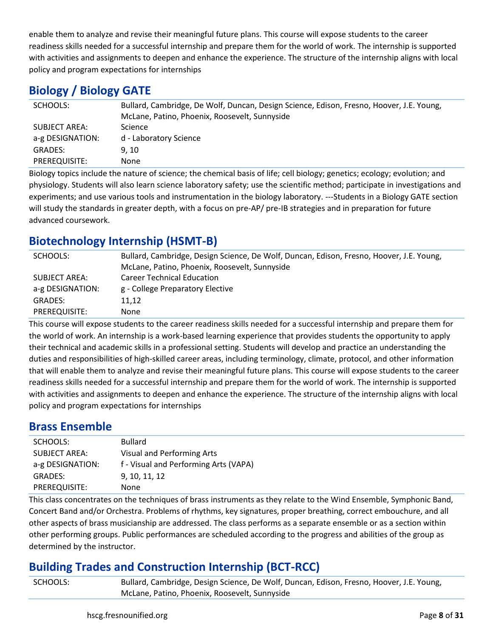enable them to analyze and revise their meaningful future plans. This course will expose students to the career readiness skills needed for a successful internship and prepare them for the world of work. The internship is supported with activities and assignments to deepen and enhance the experience. The structure of the internship aligns with local policy and program expectations for internships

# **Biology / Biology GATE**

| SCHOOLS:         | Bullard, Cambridge, De Wolf, Duncan, Design Science, Edison, Fresno, Hoover, J.E. Young,<br>McLane, Patino, Phoenix, Roosevelt, Sunnyside |
|------------------|-------------------------------------------------------------------------------------------------------------------------------------------|
| SUBJECT AREA:    | Science                                                                                                                                   |
| a-g DESIGNATION: | d - Laboratory Science                                                                                                                    |
| <b>GRADES:</b>   | 9, 10                                                                                                                                     |
| PREREQUISITE:    | None                                                                                                                                      |

Biology topics include the nature of science; the chemical basis of life; cell biology; genetics; ecology; evolution; and physiology. Students will also learn science laboratory safety; use the scientific method; participate in investigations and experiments; and use various tools and instrumentation in the biology laboratory. ---Students in a Biology GATE section will study the standards in greater depth, with a focus on pre-AP/ pre-IB strategies and in preparation for future advanced coursework.

## **Biotechnology Internship (HSMT-B)**

| SCHOOLS:         | Bullard, Cambridge, Design Science, De Wolf, Duncan, Edison, Fresno, Hoover, J.E. Young, |
|------------------|------------------------------------------------------------------------------------------|
|                  | McLane, Patino, Phoenix, Roosevelt, Sunnyside                                            |
| SUBJECT AREA:    | <b>Career Technical Education</b>                                                        |
| a-g DESIGNATION: | g - College Preparatory Elective                                                         |
| GRADES:          | 11.12                                                                                    |
| PREREQUISITE:    | None                                                                                     |

This course will expose students to the career readiness skills needed for a successful internship and prepare them for the world of work. An internship is a work-based learning experience that provides students the opportunity to apply their technical and academic skills in a professional setting. Students will develop and practice an understanding the duties and responsibilities of high-skilled career areas, including terminology, climate, protocol, and other information that will enable them to analyze and revise their meaningful future plans. This course will expose students to the career readiness skills needed for a successful internship and prepare them for the world of work. The internship is supported with activities and assignments to deepen and enhance the experience. The structure of the internship aligns with local policy and program expectations for internships

#### **Brass Ensemble**

| SCHOOLS:             | <b>Bullard</b>                        |
|----------------------|---------------------------------------|
| <b>SUBJECT AREA:</b> | Visual and Performing Arts            |
| a-g DESIGNATION:     | f - Visual and Performing Arts (VAPA) |
| <b>GRADES:</b>       | 9, 10, 11, 12                         |
| PREREQUISITE:        | None                                  |

This class concentrates on the techniques of brass instruments as they relate to the Wind Ensemble, Symphonic Band, Concert Band and/or Orchestra. Problems of rhythms, key signatures, proper breathing, correct embouchure, and all other aspects of brass musicianship are addressed. The class performs as a separate ensemble or as a section within other performing groups. Public performances are scheduled according to the progress and abilities of the group as determined by the instructor.

# **Building Trades and Construction Internship (BCT-RCC)**

SCHOOLS: Bullard, Cambridge, Design Science, De Wolf, Duncan, Edison, Fresno, Hoover, J.E. Young, McLane, Patino, Phoenix, Roosevelt, Sunnyside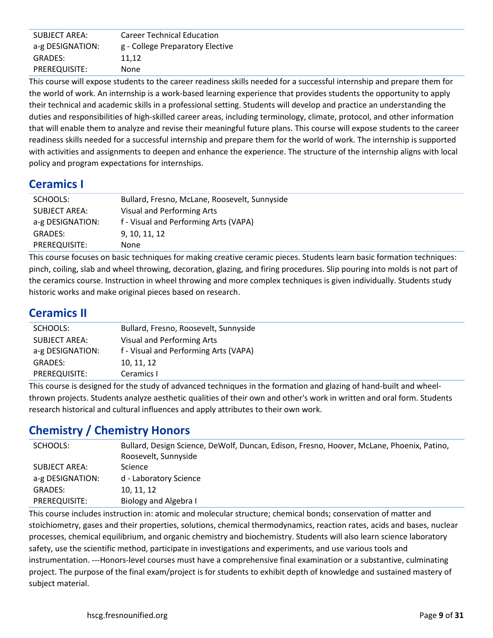| <b>SUBJECT AREA:</b> | <b>Career Technical Education</b> |
|----------------------|-----------------------------------|
| a-g DESIGNATION:     | g - College Preparatory Elective  |
| GRADES:              | 11.12                             |
| PREREQUISITE:        | None                              |

This course will expose students to the career readiness skills needed for a successful internship and prepare them for the world of work. An internship is a work-based learning experience that provides students the opportunity to apply their technical and academic skills in a professional setting. Students will develop and practice an understanding the duties and responsibilities of high-skilled career areas, including terminology, climate, protocol, and other information that will enable them to analyze and revise their meaningful future plans. This course will expose students to the career readiness skills needed for a successful internship and prepare them for the world of work. The internship is supported with activities and assignments to deepen and enhance the experience. The structure of the internship aligns with local policy and program expectations for internships.

## **Ceramics I**

| SCHOOLS:         | Bullard, Fresno, McLane, Roosevelt, Sunnyside |
|------------------|-----------------------------------------------|
| SUBJECT AREA:    | Visual and Performing Arts                    |
| a-g DESIGNATION: | f - Visual and Performing Arts (VAPA)         |
| GRADES:          | 9, 10, 11, 12                                 |
| PREREQUISITE:    | None                                          |

This course focuses on basic techniques for making creative ceramic pieces. Students learn basic formation techniques: pinch, coiling, slab and wheel throwing, decoration, glazing, and firing procedures. Slip pouring into molds is not part of the ceramics course. Instruction in wheel throwing and more complex techniques is given individually. Students study historic works and make original pieces based on research.

## **Ceramics II**

| SCHOOLS:         | Bullard, Fresno, Roosevelt, Sunnyside |
|------------------|---------------------------------------|
| SUBJECT AREA:    | Visual and Performing Arts            |
| a-g DESIGNATION: | f - Visual and Performing Arts (VAPA) |
| GRADES:          | 10, 11, 12                            |
| PREREQUISITE:    | Ceramics I                            |

This course is designed for the study of advanced techniques in the formation and glazing of hand-built and wheelthrown projects. Students analyze aesthetic qualities of their own and other's work in written and oral form. Students research historical and cultural influences and apply attributes to their own work.

# **Chemistry / Chemistry Honors**

| SCHOOLS:         | Bullard, Design Science, DeWolf, Duncan, Edison, Fresno, Hoover, McLane, Phoenix, Patino,<br>Roosevelt, Sunnyside |
|------------------|-------------------------------------------------------------------------------------------------------------------|
| SUBJECT AREA:    | <b>Science</b>                                                                                                    |
| a-g DESIGNATION: | d - Laboratory Science                                                                                            |
| <b>GRADES:</b>   | 10, 11, 12                                                                                                        |
| PREREQUISITE:    | Biology and Algebra I                                                                                             |

This course includes instruction in: atomic and molecular structure; chemical bonds; conservation of matter and stoichiometry, gases and their properties, solutions, chemical thermodynamics, reaction rates, acids and bases, nuclear processes, chemical equilibrium, and organic chemistry and biochemistry. Students will also learn science laboratory safety, use the scientific method, participate in investigations and experiments, and use various tools and instrumentation. ---Honors-level courses must have a comprehensive final examination or a substantive, culminating project. The purpose of the final exam/project is for students to exhibit depth of knowledge and sustained mastery of subject material.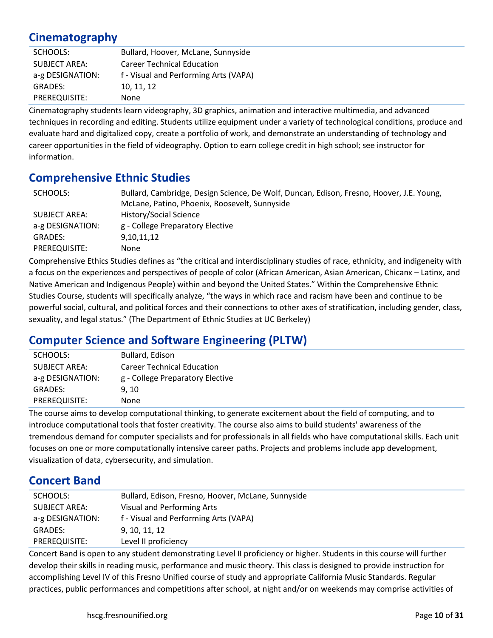## **Cinematography**

| SCHOOLS:             | Bullard, Hoover, McLane, Sunnyside    |
|----------------------|---------------------------------------|
| <b>SUBJECT AREA:</b> | <b>Career Technical Education</b>     |
| a-g DESIGNATION:     | f - Visual and Performing Arts (VAPA) |
| GRADES:              | 10, 11, 12                            |
| PREREQUISITE:        | None                                  |

Cinematography students learn videography, 3D graphics, animation and interactive multimedia, and advanced techniques in recording and editing. Students utilize equipment under a variety of technological conditions, produce and evaluate hard and digitalized copy, create a portfolio of work, and demonstrate an understanding of technology and career opportunities in the field of videography. Option to earn college credit in high school; see instructor for information.

#### **Comprehensive Ethnic Studies**

| SCHOOLS:             | Bullard, Cambridge, Design Science, De Wolf, Duncan, Edison, Fresno, Hoover, J.E. Young, |
|----------------------|------------------------------------------------------------------------------------------|
|                      | McLane, Patino, Phoenix, Roosevelt, Sunnyside                                            |
| <b>SUBJECT AREA:</b> | History/Social Science                                                                   |
| a-g DESIGNATION:     | g - College Preparatory Elective                                                         |
| <b>GRADES:</b>       | 9,10,11,12                                                                               |
| PREREQUISITE:        | None                                                                                     |

Comprehensive Ethics Studies defines as "the critical and interdisciplinary studies of race, ethnicity, and indigeneity with a focus on the experiences and perspectives of people of color (African American, Asian American, Chicanx – Latinx, and Native American and Indigenous People) within and beyond the United States." Within the Comprehensive Ethnic Studies Course, students will specifically analyze, "the ways in which race and racism have been and continue to be powerful social, cultural, and political forces and their connections to other axes of stratification, including gender, class, sexuality, and legal status." (The Department of Ethnic Studies at UC Berkeley)

## **Computer Science and Software Engineering (PLTW)**

| SCHOOLS:             | Bullard, Edison                   |
|----------------------|-----------------------------------|
| <b>SUBJECT AREA:</b> | <b>Career Technical Education</b> |
| a-g DESIGNATION:     | g - College Preparatory Elective  |
| <b>GRADES:</b>       | 9, 10                             |
| PREREQUISITE:        | None                              |

The course aims to develop computational thinking, to generate excitement about the field of computing, and to introduce computational tools that foster creativity. The course also aims to build students' awareness of the tremendous demand for computer specialists and for professionals in all fields who have computational skills. Each unit focuses on one or more computationally intensive career paths. Projects and problems include app development, visualization of data, cybersecurity, and simulation.

#### **Concert Band**

| SCHOOLS:             | Bullard, Edison, Fresno, Hoover, McLane, Sunnyside |
|----------------------|----------------------------------------------------|
| <b>SUBJECT AREA:</b> | Visual and Performing Arts                         |
| a-g DESIGNATION:     | f - Visual and Performing Arts (VAPA)              |
| <b>GRADES:</b>       | 9, 10, 11, 12                                      |
| PREREQUISITE:        | Level II proficiency                               |

Concert Band is open to any student demonstrating Level II proficiency or higher. Students in this course will further develop their skills in reading music, performance and music theory. This class is designed to provide instruction for accomplishing Level IV of this Fresno Unified course of study and appropriate California Music Standards. Regular practices, public performances and competitions after school, at night and/or on weekends may comprise activities of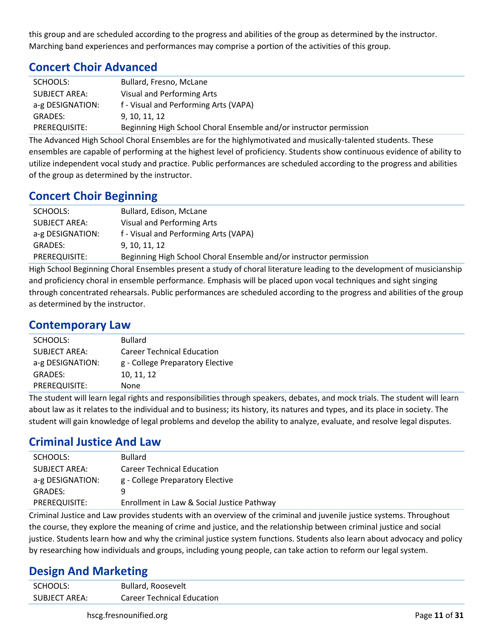this group and are scheduled according to the progress and abilities of the group as determined by the instructor. Marching band experiences and performances may comprise a portion of the activities of this group.

## **Concert Choir Advanced**

| SCHOOLS:         | Bullard, Fresno, McLane                                            |
|------------------|--------------------------------------------------------------------|
| SUBJECT AREA:    | Visual and Performing Arts                                         |
| a-g DESIGNATION: | f - Visual and Performing Arts (VAPA)                              |
| <b>GRADES:</b>   | 9, 10, 11, 12                                                      |
| PREREQUISITE:    | Beginning High School Choral Ensemble and/or instructor permission |

The Advanced High School Choral Ensembles are for the highlymotivated and musically-talented students. These ensembles are capable of performing at the highest level of proficiency. Students show continuous evidence of ability to utilize independent vocal study and practice. Public performances are scheduled according to the progress and abilities of the group as determined by the instructor.

## **Concert Choir Beginning**

| SCHOOLS:         | Bullard, Edison, McLane                                            |
|------------------|--------------------------------------------------------------------|
| SUBJECT AREA:    | Visual and Performing Arts                                         |
| a-g DESIGNATION: | f - Visual and Performing Arts (VAPA)                              |
| GRADES:          | 9, 10, 11, 12                                                      |
| PREREQUISITE:    | Beginning High School Choral Ensemble and/or instructor permission |
|                  |                                                                    |

High School Beginning Choral Ensembles present a study of choral literature leading to the development of musicianship and proficiency choral in ensemble performance. Emphasis will be placed upon vocal techniques and sight singing through concentrated rehearsals. Public performances are scheduled according to the progress and abilities of the group as determined by the instructor.

#### **Contemporary Law**

| SCHOOLS:             | <b>Bullard</b>                    |
|----------------------|-----------------------------------|
| <b>SUBJECT AREA:</b> | <b>Career Technical Education</b> |
| a-g DESIGNATION:     | g - College Preparatory Elective  |
| <b>GRADES:</b>       | 10, 11, 12                        |
| PREREQUISITE:        | None                              |
|                      | .                                 |

The student will learn legal rights and responsibilities through speakers, debates, and mock trials. The student will learn about law as it relates to the individual and to business; its history, its natures and types, and its place in society. The student will gain knowledge of legal problems and develop the ability to analyze, evaluate, and resolve legal disputes.

## **Criminal Justice And Law**

| SCHOOLS:             | <b>Bullard</b>                             |
|----------------------|--------------------------------------------|
| <b>SUBJECT AREA:</b> | <b>Career Technical Education</b>          |
| a-g DESIGNATION:     | g - College Preparatory Elective           |
| GRADES:              | q                                          |
| PREREQUISITE:        | Enrollment in Law & Social Justice Pathway |

Criminal Justice and Law provides students with an overview of the criminal and juvenile justice systems. Throughout the course, they explore the meaning of crime and justice, and the relationship between criminal justice and social justice. Students learn how and why the criminal justice system functions. Students also learn about advocacy and policy by researching how individuals and groups, including young people, can take action to reform our legal system.

#### **Design And Marketing**

| SCHOOLS:      | Bullard, Roosevelt                |
|---------------|-----------------------------------|
| SUBJECT AREA: | <b>Career Technical Education</b> |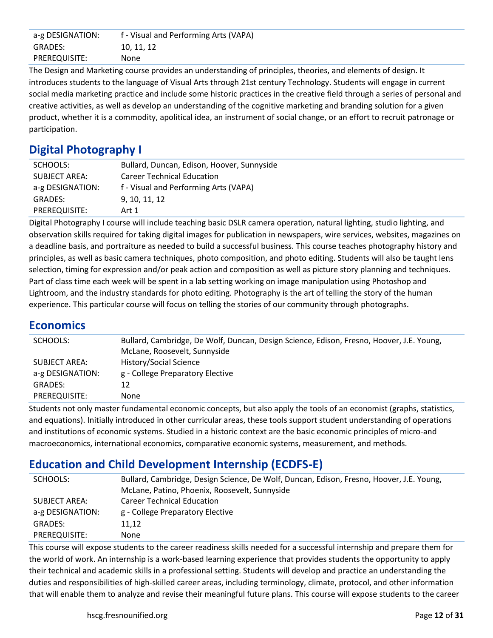| a-g DESIGNATION: | f - Visual and Performing Arts (VAPA) |
|------------------|---------------------------------------|
| <b>GRADES:</b>   | 10, 11, 12                            |
| PREREQUISITE:    | None                                  |

The Design and Marketing course provides an understanding of principles, theories, and elements of design. It introduces students to the language of Visual Arts through 21st century Technology. Students will engage in current social media marketing practice and include some historic practices in the creative field through a series of personal and creative activities, as well as develop an understanding of the cognitive marketing and branding solution for a given product, whether it is a commodity, apolitical idea, an instrument of social change, or an effort to recruit patronage or participation.

# **Digital Photography I**

| SCHOOLS:             | Bullard, Duncan, Edison, Hoover, Sunnyside |
|----------------------|--------------------------------------------|
| <b>SUBJECT AREA:</b> | <b>Career Technical Education</b>          |
| a-g DESIGNATION:     | f - Visual and Performing Arts (VAPA)      |
| <b>GRADES:</b>       | 9, 10, 11, 12                              |
| PREREQUISITE:        | Art 1                                      |

Digital Photography I course will include teaching basic DSLR camera operation, natural lighting, studio lighting, and observation skills required for taking digital images for publication in newspapers, wire services, websites, magazines on a deadline basis, and portraiture as needed to build a successful business. This course teaches photography history and principles, as well as basic camera techniques, photo composition, and photo editing. Students will also be taught lens selection, timing for expression and/or peak action and composition as well as picture story planning and techniques. Part of class time each week will be spent in a lab setting working on image manipulation using Photoshop and Lightroom, and the industry standards for photo editing. Photography is the art of telling the story of the human experience. This particular course will focus on telling the stories of our community through photographs.

#### **Economics**

| SCHOOLS:         | Bullard, Cambridge, De Wolf, Duncan, Design Science, Edison, Fresno, Hoover, J.E. Young, |
|------------------|------------------------------------------------------------------------------------------|
|                  | McLane, Roosevelt, Sunnyside                                                             |
| SUBJECT AREA:    | History/Social Science                                                                   |
| a-g DESIGNATION: | g - College Preparatory Elective                                                         |
| <b>GRADES:</b>   | 12                                                                                       |
| PREREQUISITE:    | None                                                                                     |
|                  |                                                                                          |

Students not only master fundamental economic concepts, but also apply the tools of an economist (graphs, statistics, and equations). Initially introduced in other curricular areas, these tools support student understanding of operations and institutions of economic systems. Studied in a historic context are the basic economic principles of micro-and macroeconomics, international economics, comparative economic systems, measurement, and methods.

# **Education and Child Development Internship (ECDFS-E)**

| SCHOOLS:         | Bullard, Cambridge, Design Science, De Wolf, Duncan, Edison, Fresno, Hoover, J.E. Young, |
|------------------|------------------------------------------------------------------------------------------|
|                  | McLane, Patino, Phoenix, Roosevelt, Sunnyside                                            |
| SUBJECT AREA:    | <b>Career Technical Education</b>                                                        |
| a-g DESIGNATION: | g - College Preparatory Elective                                                         |
| <b>GRADES:</b>   | 11.12                                                                                    |
| PREREQUISITE:    | <b>None</b>                                                                              |

This course will expose students to the career readiness skills needed for a successful internship and prepare them for the world of work. An internship is a work-based learning experience that provides students the opportunity to apply their technical and academic skills in a professional setting. Students will develop and practice an understanding the duties and responsibilities of high-skilled career areas, including terminology, climate, protocol, and other information that will enable them to analyze and revise their meaningful future plans. This course will expose students to the career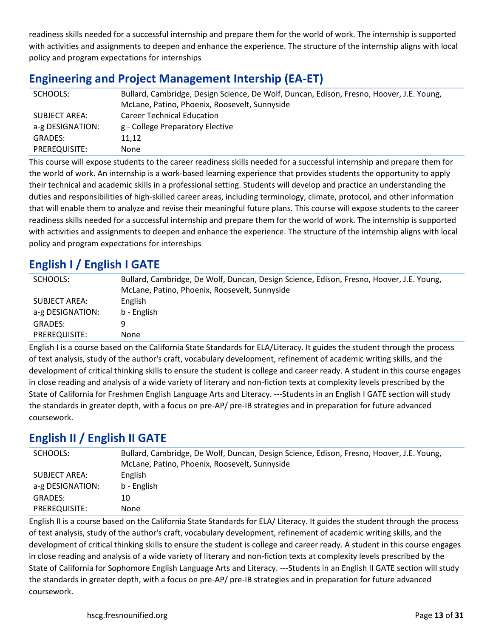readiness skills needed for a successful internship and prepare them for the world of work. The internship is supported with activities and assignments to deepen and enhance the experience. The structure of the internship aligns with local policy and program expectations for internships

## **Engineering and Project Management Intership (EA-ET)**

| SCHOOLS:                          | Bullard, Cambridge, Design Science, De Wolf, Duncan, Edison, Fresno, Hoover, J.E. Young,<br>McLane, Patino, Phoenix, Roosevelt, Sunnyside |
|-----------------------------------|-------------------------------------------------------------------------------------------------------------------------------------------|
| SUBJECT AREA:<br>a-g DESIGNATION: | <b>Career Technical Education</b><br>g - College Preparatory Elective                                                                     |
| <b>GRADES:</b>                    | 11,12                                                                                                                                     |
| PREREQUISITE:                     | None                                                                                                                                      |

This course will expose students to the career readiness skills needed for a successful internship and prepare them for the world of work. An internship is a work-based learning experience that provides students the opportunity to apply their technical and academic skills in a professional setting. Students will develop and practice an understanding the duties and responsibilities of high-skilled career areas, including terminology, climate, protocol, and other information that will enable them to analyze and revise their meaningful future plans. This course will expose students to the career readiness skills needed for a successful internship and prepare them for the world of work. The internship is supported with activities and assignments to deepen and enhance the experience. The structure of the internship aligns with local policy and program expectations for internships

## **English I / English I GATE**

| SCHOOLS:         | Bullard, Cambridge, De Wolf, Duncan, Design Science, Edison, Fresno, Hoover, J.E. Young, |
|------------------|------------------------------------------------------------------------------------------|
|                  | McLane, Patino, Phoenix, Roosevelt, Sunnyside                                            |
| SUBJECT AREA:    | English                                                                                  |
| a-g DESIGNATION: | b - English                                                                              |
| <b>GRADES:</b>   | 9                                                                                        |
| PREREQUISITE:    | None                                                                                     |

English I is a course based on the California State Standards for ELA/Literacy. It guides the student through the process of text analysis, study of the author's craft, vocabulary development, refinement of academic writing skills, and the development of critical thinking skills to ensure the student is college and career ready. A student in this course engages in close reading and analysis of a wide variety of literary and non-fiction texts at complexity levels prescribed by the State of California for Freshmen English Language Arts and Literacy. ---Students in an English I GATE section will study the standards in greater depth, with a focus on pre-AP/ pre-IB strategies and in preparation for future advanced coursework.

# **English II / English II GATE**

| SCHOOLS:         | Bullard, Cambridge, De Wolf, Duncan, Design Science, Edison, Fresno, Hoover, J.E. Young, |
|------------------|------------------------------------------------------------------------------------------|
|                  | McLane, Patino, Phoenix, Roosevelt, Sunnyside                                            |
| SUBJECT AREA:    | English                                                                                  |
| a-g DESIGNATION: | b - English                                                                              |
| GRADES:          | 10                                                                                       |
| PREREQUISITE:    | None.                                                                                    |

English II is a course based on the California State Standards for ELA/ Literacy. It guides the student through the process of text analysis, study of the author's craft, vocabulary development, refinement of academic writing skills, and the development of critical thinking skills to ensure the student is college and career ready. A student in this course engages in close reading and analysis of a wide variety of literary and non-fiction texts at complexity levels prescribed by the State of California for Sophomore English Language Arts and Literacy. ---Students in an English II GATE section will study the standards in greater depth, with a focus on pre-AP/ pre-IB strategies and in preparation for future advanced coursework.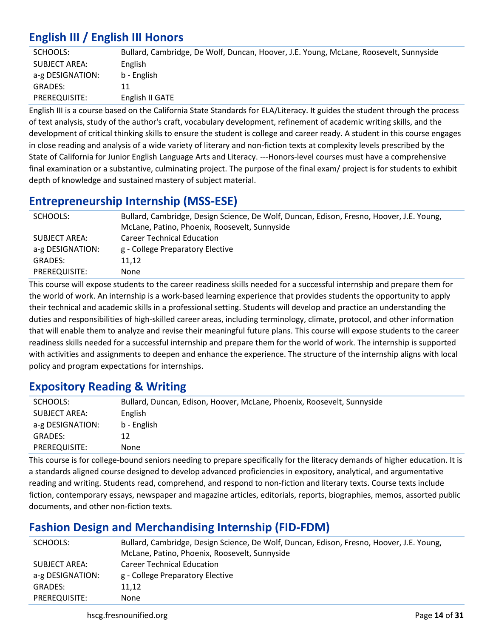# **English III / English III Honors**

| SCHOOLS:         | Bullard, Cambridge, De Wolf, Duncan, Hoover, J.E. Young, McLane, Roosevelt, Sunnyside |
|------------------|---------------------------------------------------------------------------------------|
| SUBJECT AREA:    | English                                                                               |
| a-g DESIGNATION: | b - English                                                                           |
| GRADES:          |                                                                                       |
| PREREQUISITE:    | English II GATE                                                                       |

English III is a course based on the California State Standards for ELA/Literacy. It guides the student through the process of text analysis, study of the author's craft, vocabulary development, refinement of academic writing skills, and the development of critical thinking skills to ensure the student is college and career ready. A student in this course engages in close reading and analysis of a wide variety of literary and non-fiction texts at complexity levels prescribed by the State of California for Junior English Language Arts and Literacy. ---Honors-level courses must have a comprehensive final examination or a substantive, culminating project. The purpose of the final exam/ project is for students to exhibit depth of knowledge and sustained mastery of subject material.

## **Entrepreneurship Internship (MSS-ESE)**

| SCHOOLS:         | Bullard, Cambridge, Design Science, De Wolf, Duncan, Edison, Fresno, Hoover, J.E. Young, |
|------------------|------------------------------------------------------------------------------------------|
|                  | McLane, Patino, Phoenix, Roosevelt, Sunnyside                                            |
| SUBJECT AREA:    | <b>Career Technical Education</b>                                                        |
| a-g DESIGNATION: | g - College Preparatory Elective                                                         |
| GRADES:          | 11.12                                                                                    |
| PREREQUISITE:    | None                                                                                     |

This course will expose students to the career readiness skills needed for a successful internship and prepare them for the world of work. An internship is a work-based learning experience that provides students the opportunity to apply their technical and academic skills in a professional setting. Students will develop and practice an understanding the duties and responsibilities of high-skilled career areas, including terminology, climate, protocol, and other information that will enable them to analyze and revise their meaningful future plans. This course will expose students to the career readiness skills needed for a successful internship and prepare them for the world of work. The internship is supported with activities and assignments to deepen and enhance the experience. The structure of the internship aligns with local policy and program expectations for internships.

## **Expository Reading & Writing**

| SCHOOLS:         | Bullard, Duncan, Edison, Hoover, McLane, Phoenix, Roosevelt, Sunnyside |
|------------------|------------------------------------------------------------------------|
| SUBJECT AREA:    | English                                                                |
| a-g DESIGNATION: | b - English                                                            |
| <b>GRADES:</b>   | 12                                                                     |
| PREREQUISITE:    | None                                                                   |
|                  |                                                                        |

This course is for college-bound seniors needing to prepare specifically for the literacy demands of higher education. It is a standards aligned course designed to develop advanced proficiencies in expository, analytical, and argumentative reading and writing. Students read, comprehend, and respond to non-fiction and literary texts. Course texts include fiction, contemporary essays, newspaper and magazine articles, editorials, reports, biographies, memos, assorted public documents, and other non-fiction texts.

# **Fashion Design and Merchandising Internship (FID-FDM)**

| SCHOOLS:         | Bullard, Cambridge, Design Science, De Wolf, Duncan, Edison, Fresno, Hoover, J.E. Young, |
|------------------|------------------------------------------------------------------------------------------|
|                  | McLane, Patino, Phoenix, Roosevelt, Sunnyside                                            |
| SUBJECT AREA:    | <b>Career Technical Education</b>                                                        |
| a-g DESIGNATION: | g - College Preparatory Elective                                                         |
| GRADES:          | 11,12                                                                                    |
| PREREQUISITE:    | None                                                                                     |

hscg.fresnounified.org **Page 14** of **31 Page 14** of **31**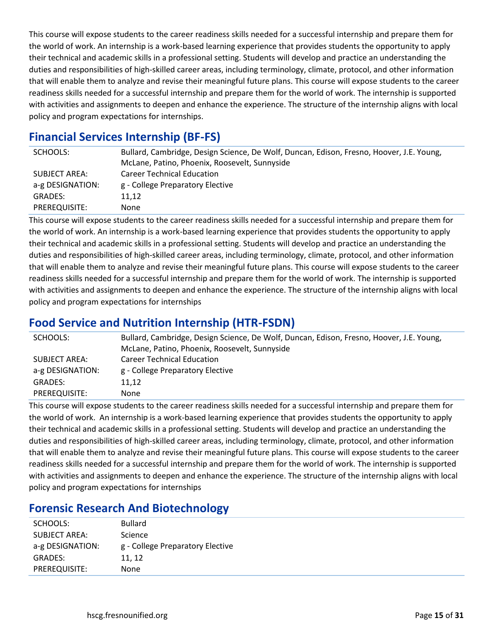This course will expose students to the career readiness skills needed for a successful internship and prepare them for the world of work. An internship is a work-based learning experience that provides students the opportunity to apply their technical and academic skills in a professional setting. Students will develop and practice an understanding the duties and responsibilities of high-skilled career areas, including terminology, climate, protocol, and other information that will enable them to analyze and revise their meaningful future plans. This course will expose students to the career readiness skills needed for a successful internship and prepare them for the world of work. The internship is supported with activities and assignments to deepen and enhance the experience. The structure of the internship aligns with local policy and program expectations for internships.

# **Financial Services Internship (BF-FS)**

| SCHOOLS:         | Bullard, Cambridge, Design Science, De Wolf, Duncan, Edison, Fresno, Hoover, J.E. Young, |
|------------------|------------------------------------------------------------------------------------------|
|                  | McLane, Patino, Phoenix, Roosevelt, Sunnyside                                            |
| SUBJECT AREA:    | <b>Career Technical Education</b>                                                        |
| a-g DESIGNATION: | g - College Preparatory Elective                                                         |
| GRADES:          | 11.12                                                                                    |
| PREREQUISITE:    | None.                                                                                    |

This course will expose students to the career readiness skills needed for a successful internship and prepare them for the world of work. An internship is a work-based learning experience that provides students the opportunity to apply their technical and academic skills in a professional setting. Students will develop and practice an understanding the duties and responsibilities of high-skilled career areas, including terminology, climate, protocol, and other information that will enable them to analyze and revise their meaningful future plans. This course will expose students to the career readiness skills needed for a successful internship and prepare them for the world of work. The internship is supported with activities and assignments to deepen and enhance the experience. The structure of the internship aligns with local policy and program expectations for internships

# **Food Service and Nutrition Internship (HTR-FSDN)**

| SCHOOLS:         | Bullard, Cambridge, Design Science, De Wolf, Duncan, Edison, Fresno, Hoover, J.E. Young, |
|------------------|------------------------------------------------------------------------------------------|
|                  | McLane, Patino, Phoenix, Roosevelt, Sunnyside                                            |
| SUBJECT AREA:    | <b>Career Technical Education</b>                                                        |
| a-g DESIGNATION: | g - College Preparatory Elective                                                         |
| <b>GRADES:</b>   | 11.12                                                                                    |
| PREREQUISITE:    | None                                                                                     |

This course will expose students to the career readiness skills needed for a successful internship and prepare them for the world of work. An internship is a work-based learning experience that provides students the opportunity to apply their technical and academic skills in a professional setting. Students will develop and practice an understanding the duties and responsibilities of high-skilled career areas, including terminology, climate, protocol, and other information that will enable them to analyze and revise their meaningful future plans. This course will expose students to the career readiness skills needed for a successful internship and prepare them for the world of work. The internship is supported with activities and assignments to deepen and enhance the experience. The structure of the internship aligns with local policy and program expectations for internships

## **Forensic Research And Biotechnology**

| SCHOOLS:             | <b>Bullard</b>                   |
|----------------------|----------------------------------|
| <b>SUBJECT AREA:</b> | Science                          |
| a-g DESIGNATION:     | g - College Preparatory Elective |
| <b>GRADES:</b>       | 11, 12                           |
| PREREQUISITE:        | None                             |
|                      |                                  |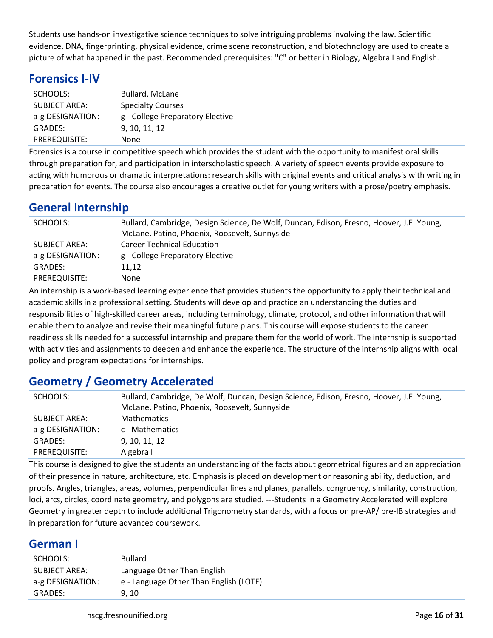Students use hands-on investigative science techniques to solve intriguing problems involving the law. Scientific evidence, DNA, fingerprinting, physical evidence, crime scene reconstruction, and biotechnology are used to create a picture of what happened in the past. Recommended prerequisites: "C" or better in Biology, Algebra I and English.

## **Forensics I-IV**

| SCHOOLS:             | <b>Bullard, McLane</b>           |
|----------------------|----------------------------------|
| <b>SUBJECT AREA:</b> | <b>Specialty Courses</b>         |
| a-g DESIGNATION:     | g - College Preparatory Elective |
| <b>GRADES:</b>       | 9, 10, 11, 12                    |
| PREREQUISITE:        | None                             |

Forensics is a course in competitive speech which provides the student with the opportunity to manifest oral skills through preparation for, and participation in interscholastic speech. A variety of speech events provide exposure to acting with humorous or dramatic interpretations: research skills with original events and critical analysis with writing in preparation for events. The course also encourages a creative outlet for young writers with a prose/poetry emphasis.

## **General Internship**

| SCHOOLS:         | Bullard, Cambridge, Design Science, De Wolf, Duncan, Edison, Fresno, Hoover, J.E. Young, |
|------------------|------------------------------------------------------------------------------------------|
|                  | McLane, Patino, Phoenix, Roosevelt, Sunnyside                                            |
| SUBJECT AREA:    | <b>Career Technical Education</b>                                                        |
| a-g DESIGNATION: | g - College Preparatory Elective                                                         |
| GRADES:          | 11.12                                                                                    |
| PREREQUISITE:    | None                                                                                     |

An internship is a work-based learning experience that provides students the opportunity to apply their technical and academic skills in a professional setting. Students will develop and practice an understanding the duties and responsibilities of high-skilled career areas, including terminology, climate, protocol, and other information that will enable them to analyze and revise their meaningful future plans. This course will expose students to the career readiness skills needed for a successful internship and prepare them for the world of work. The internship is supported with activities and assignments to deepen and enhance the experience. The structure of the internship aligns with local policy and program expectations for internships.

# **Geometry / Geometry Accelerated**

| SCHOOLS:         | Bullard, Cambridge, De Wolf, Duncan, Design Science, Edison, Fresno, Hoover, J.E. Young, |
|------------------|------------------------------------------------------------------------------------------|
|                  | McLane, Patino, Phoenix, Roosevelt, Sunnyside                                            |
| SUBJECT AREA:    | <b>Mathematics</b>                                                                       |
| a-g DESIGNATION: | c - Mathematics                                                                          |
| GRADES:          | 9, 10, 11, 12                                                                            |
| PREREQUISITE:    | Algebra I                                                                                |

This course is designed to give the students an understanding of the facts about geometrical figures and an appreciation of their presence in nature, architecture, etc. Emphasis is placed on development or reasoning ability, deduction, and proofs. Angles, triangles, areas, volumes, perpendicular lines and planes, parallels, congruency, similarity, construction, loci, arcs, circles, coordinate geometry, and polygons are studied. ---Students in a Geometry Accelerated will explore Geometry in greater depth to include additional Trigonometry standards, with a focus on pre-AP/ pre-IB strategies and in preparation for future advanced coursework.

#### **German I**

| SCHOOLS:             | <b>Bullard</b>                         |
|----------------------|----------------------------------------|
| <b>SUBJECT AREA:</b> | Language Other Than English            |
| a-g DESIGNATION:     | e - Language Other Than English (LOTE) |
| GRADES:              | 9.10                                   |
|                      |                                        |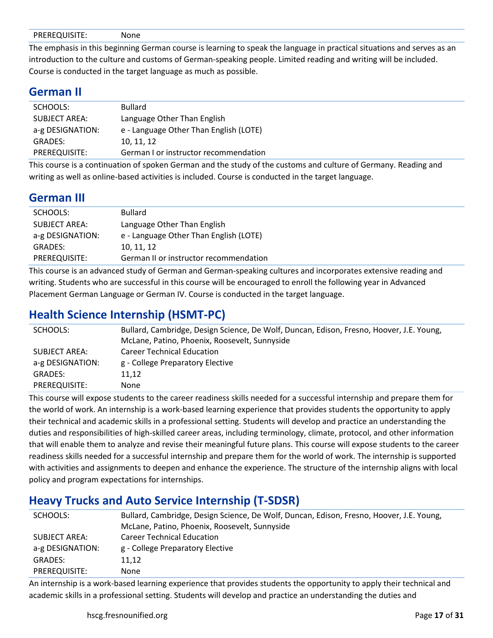|--|--|

The emphasis in this beginning German course is learning to speak the language in practical situations and serves as an introduction to the culture and customs of German-speaking people. Limited reading and writing will be included. Course is conducted in the target language as much as possible.

#### **German II**

| SCHOOLS:             | <b>Bullard</b>                         |
|----------------------|----------------------------------------|
| <b>SUBJECT AREA:</b> | Language Other Than English            |
| a-g DESIGNATION:     | e - Language Other Than English (LOTE) |
| <b>GRADES:</b>       | 10, 11, 12                             |
| PREREQUISITE:        | German I or instructor recommendation  |

This course is a continuation of spoken German and the study of the customs and culture of Germany. Reading and writing as well as online-based activities is included. Course is conducted in the target language.

## **German III**

| SCHOOLS:             | <b>Bullard</b>                         |
|----------------------|----------------------------------------|
| <b>SUBJECT AREA:</b> | Language Other Than English            |
| a-g DESIGNATION:     | e - Language Other Than English (LOTE) |
| <b>GRADES:</b>       | 10, 11, 12                             |
| PREREQUISITE:        | German II or instructor recommendation |

This course is an advanced study of German and German-speaking cultures and incorporates extensive reading and writing. Students who are successful in this course will be encouraged to enroll the following year in Advanced Placement German Language or German IV. Course is conducted in the target language.

## **Health Science Internship (HSMT-PC)**

| SCHOOLS:         | Bullard, Cambridge, Design Science, De Wolf, Duncan, Edison, Fresno, Hoover, J.E. Young, |
|------------------|------------------------------------------------------------------------------------------|
|                  | McLane, Patino, Phoenix, Roosevelt, Sunnyside                                            |
| SUBJECT AREA:    | <b>Career Technical Education</b>                                                        |
| a-g DESIGNATION: | g - College Preparatory Elective                                                         |
| <b>GRADES:</b>   | 11.12                                                                                    |
| PREREQUISITE:    | None                                                                                     |

This course will expose students to the career readiness skills needed for a successful internship and prepare them for the world of work. An internship is a work-based learning experience that provides students the opportunity to apply their technical and academic skills in a professional setting. Students will develop and practice an understanding the duties and responsibilities of high-skilled career areas, including terminology, climate, protocol, and other information that will enable them to analyze and revise their meaningful future plans. This course will expose students to the career readiness skills needed for a successful internship and prepare them for the world of work. The internship is supported with activities and assignments to deepen and enhance the experience. The structure of the internship aligns with local policy and program expectations for internships.

## **Heavy Trucks and Auto Service Internship (T-SDSR)**

| Bullard, Cambridge, Design Science, De Wolf, Duncan, Edison, Fresno, Hoover, J.E. Young, |
|------------------------------------------------------------------------------------------|
| McLane, Patino, Phoenix, Roosevelt, Sunnyside                                            |
| <b>Career Technical Education</b>                                                        |
| g - College Preparatory Elective                                                         |
| 11.12                                                                                    |
| None                                                                                     |
|                                                                                          |

An internship is a work-based learning experience that provides students the opportunity to apply their technical and academic skills in a professional setting. Students will develop and practice an understanding the duties and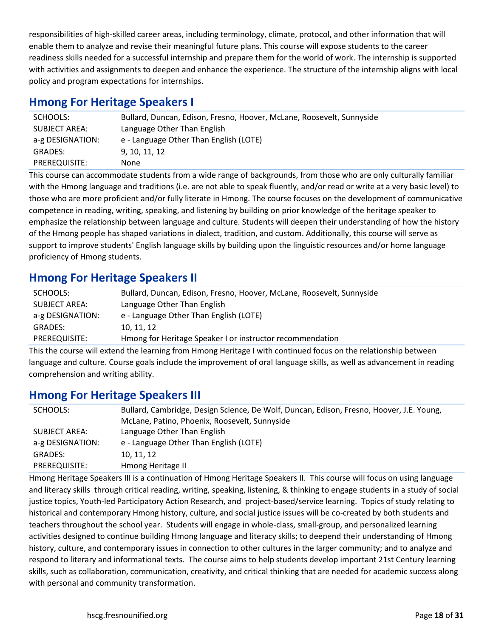responsibilities of high-skilled career areas, including terminology, climate, protocol, and other information that will enable them to analyze and revise their meaningful future plans. This course will expose students to the career readiness skills needed for a successful internship and prepare them for the world of work. The internship is supported with activities and assignments to deepen and enhance the experience. The structure of the internship aligns with local policy and program expectations for internships.

## **Hmong For Heritage Speakers I**

| SCHOOLS:             | Bullard, Duncan, Edison, Fresno, Hoover, McLane, Roosevelt, Sunnyside |
|----------------------|-----------------------------------------------------------------------|
| <b>SUBJECT AREA:</b> | Language Other Than English                                           |
| a-g DESIGNATION:     | e - Language Other Than English (LOTE)                                |
| GRADES:              | 9, 10, 11, 12                                                         |
| PREREQUISITE:        | None                                                                  |
|                      |                                                                       |

This course can accommodate students from a wide range of backgrounds, from those who are only culturally familiar with the Hmong language and traditions (i.e. are not able to speak fluently, and/or read or write at a very basic level) to those who are more proficient and/or fully literate in Hmong. The course focuses on the development of communicative competence in reading, writing, speaking, and listening by building on prior knowledge of the heritage speaker to emphasize the relationship between language and culture. Students will deepen their understanding of how the history of the Hmong people has shaped variations in dialect, tradition, and custom. Additionally, this course will serve as support to improve students' English language skills by building upon the linguistic resources and/or home language proficiency of Hmong students.

## **Hmong For Heritage Speakers II**

| SCHOOLS:         | Bullard, Duncan, Edison, Fresno, Hoover, McLane, Roosevelt, Sunnyside |
|------------------|-----------------------------------------------------------------------|
| SUBJECT AREA:    | Language Other Than English                                           |
| a-g DESIGNATION: | e - Language Other Than English (LOTE)                                |
| GRADES:          | 10, 11, 12                                                            |
| PREREQUISITE:    | Hmong for Heritage Speaker I or instructor recommendation             |

This the course will extend the learning from Hmong Heritage I with continued focus on the relationship between language and culture. Course goals include the improvement of oral language skills, as well as advancement in reading comprehension and writing ability.

## **Hmong For Heritage Speakers III**

| SCHOOLS:         | Bullard, Cambridge, Design Science, De Wolf, Duncan, Edison, Fresno, Hoover, J.E. Young, |
|------------------|------------------------------------------------------------------------------------------|
|                  | McLane, Patino, Phoenix, Roosevelt, Sunnyside                                            |
| SUBJECT AREA:    | Language Other Than English                                                              |
| a-g DESIGNATION: | e - Language Other Than English (LOTE)                                                   |
| <b>GRADES:</b>   | 10, 11, 12                                                                               |
| PREREQUISITE:    | Hmong Heritage II                                                                        |
|                  |                                                                                          |

Hmong Heritage Speakers III is a continuation of Hmong Heritage Speakers II. This course will focus on using language and literacy skills through critical reading, writing, speaking, listening, & thinking to engage students in a study of social justice topics, Youth-led Participatory Action Research, and project-based/service learning. Topics of study relating to historical and contemporary Hmong history, culture, and social justice issues will be co-created by both students and teachers throughout the school year. Students will engage in whole-class, small-group, and personalized learning activities designed to continue building Hmong language and literacy skills; to deepend their understanding of Hmong history, culture, and contemporary issues in connection to other cultures in the larger community; and to analyze and respond to literary and informational texts. The course aims to help students develop important 21st Century learning skills, such as collaboration, communication, creativity, and critical thinking that are needed for academic success along with personal and community transformation.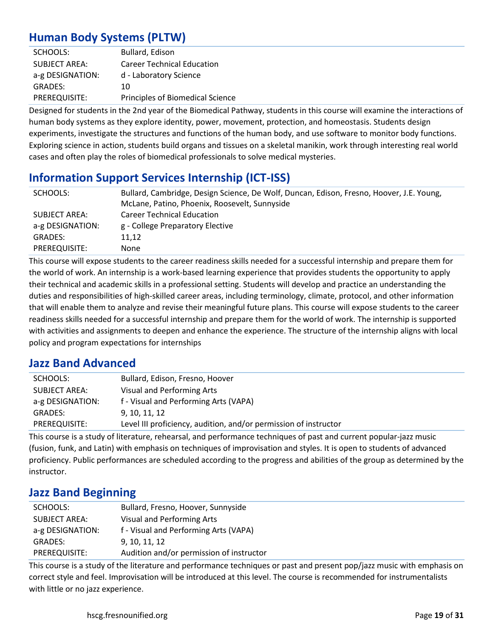# **Human Body Systems (PLTW)**

| SCHOOLS:             | Bullard, Edison                         |
|----------------------|-----------------------------------------|
| <b>SUBJECT AREA:</b> | <b>Career Technical Education</b>       |
| a-g DESIGNATION:     | d - Laboratory Science                  |
| <b>GRADES:</b>       | 10                                      |
| PREREQUISITE:        | <b>Principles of Biomedical Science</b> |

Designed for students in the 2nd year of the Biomedical Pathway, students in this course will examine the interactions of human body systems as they explore identity, power, movement, protection, and homeostasis. Students design experiments, investigate the structures and functions of the human body, and use software to monitor body functions. Exploring science in action, students build organs and tissues on a skeletal manikin, work through interesting real world cases and often play the roles of biomedical professionals to solve medical mysteries.

# **Information Support Services Internship (ICT-ISS)**

| SCHOOLS:         | Bullard, Cambridge, Design Science, De Wolf, Duncan, Edison, Fresno, Hoover, J.E. Young, |
|------------------|------------------------------------------------------------------------------------------|
|                  | McLane, Patino, Phoenix, Roosevelt, Sunnyside                                            |
| SUBJECT AREA:    | <b>Career Technical Education</b>                                                        |
| a-g DESIGNATION: | g - College Preparatory Elective                                                         |
| <b>GRADES:</b>   | 11,12                                                                                    |
| PREREQUISITE:    | None                                                                                     |

This course will expose students to the career readiness skills needed for a successful internship and prepare them for the world of work. An internship is a work-based learning experience that provides students the opportunity to apply their technical and academic skills in a professional setting. Students will develop and practice an understanding the duties and responsibilities of high-skilled career areas, including terminology, climate, protocol, and other information that will enable them to analyze and revise their meaningful future plans. This course will expose students to the career readiness skills needed for a successful internship and prepare them for the world of work. The internship is supported with activities and assignments to deepen and enhance the experience. The structure of the internship aligns with local policy and program expectations for internships

## **Jazz Band Advanced**

| SCHOOLS:             | Bullard, Edison, Fresno, Hoover                                  |
|----------------------|------------------------------------------------------------------|
| <b>SUBJECT AREA:</b> | Visual and Performing Arts                                       |
| a-g DESIGNATION:     | f - Visual and Performing Arts (VAPA)                            |
| <b>GRADES:</b>       | 9. 10. 11. 12                                                    |
| PREREQUISITE:        | Level III proficiency, audition, and/or permission of instructor |

This course is a study of literature, rehearsal, and performance techniques of past and current popular-jazz music (fusion, funk, and Latin) with emphasis on techniques of improvisation and styles. It is open to students of advanced proficiency. Public performances are scheduled according to the progress and abilities of the group as determined by the instructor.

# **Jazz Band Beginning**

| SCHOOLS:             | Bullard, Fresno, Hoover, Sunnyside       |
|----------------------|------------------------------------------|
| <b>SUBJECT AREA:</b> | Visual and Performing Arts               |
| a-g DESIGNATION:     | f - Visual and Performing Arts (VAPA)    |
| <b>GRADES:</b>       | 9, 10, 11, 12                            |
| PREREQUISITE:        | Audition and/or permission of instructor |

This course is a study of the literature and performance techniques or past and present pop/jazz music with emphasis on correct style and feel. Improvisation will be introduced at this level. The course is recommended for instrumentalists with little or no jazz experience.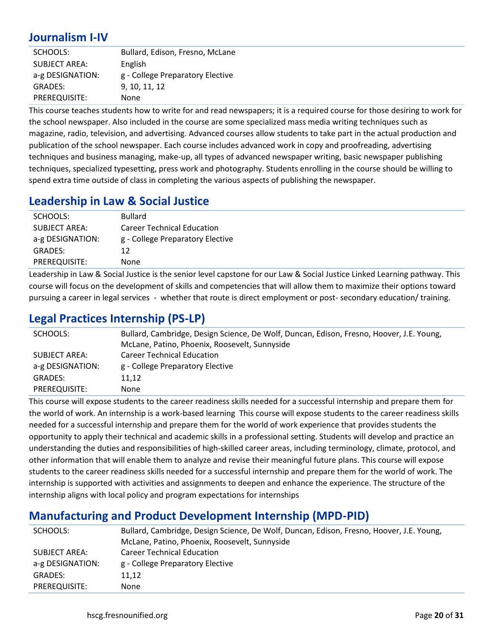# **Journalism I-IV**

| SCHOOLS:             | Bullard, Edison, Fresno, McLane  |
|----------------------|----------------------------------|
| <b>SUBJECT AREA:</b> | English                          |
| a-g DESIGNATION:     | g - College Preparatory Elective |
| <b>GRADES:</b>       | 9, 10, 11, 12                    |
| PREREQUISITE:        | None                             |

This course teaches students how to write for and read newspapers; it is a required course for those desiring to work for the school newspaper. Also included in the course are some specialized mass media writing techniques such as magazine, radio, television, and advertising. Advanced courses allow students to take part in the actual production and publication of the school newspaper. Each course includes advanced work in copy and proofreading, advertising techniques and business managing, make-up, all types of advanced newspaper writing, basic newspaper publishing techniques, specialized typesetting, press work and photography. Students enrolling in the course should be willing to spend extra time outside of class in completing the various aspects of publishing the newspaper.

#### **Leadership in Law & Social Justice**

| SCHOOLS:             | <b>Bullard</b>                    |
|----------------------|-----------------------------------|
| <b>SUBJECT AREA:</b> | <b>Career Technical Education</b> |
| a-g DESIGNATION:     | g - College Preparatory Elective  |
| <b>GRADES:</b>       | 12                                |
| PREREQUISITE:        | None                              |
|                      |                                   |

Leadership in Law & Social Justice is the senior level capstone for our Law & Social Justice Linked Learning pathway. This course will focus on the development of skills and competencies that will allow them to maximize their options toward pursuing a career in legal services - whether that route is direct employment or post- secondary education/ training.

#### **Legal Practices Internship (PS-LP)**

| SCHOOLS:         | Bullard, Cambridge, Design Science, De Wolf, Duncan, Edison, Fresno, Hoover, J.E. Young, |
|------------------|------------------------------------------------------------------------------------------|
|                  | McLane, Patino, Phoenix, Roosevelt, Sunnyside                                            |
| SUBJECT AREA:    | <b>Career Technical Education</b>                                                        |
| a-g DESIGNATION: | g - College Preparatory Elective                                                         |
| GRADES:          | 11.12                                                                                    |
| PREREQUISITE:    | None                                                                                     |

This course will expose students to the career readiness skills needed for a successful internship and prepare them for the world of work. An internship is a work-based learning This course will expose students to the career readiness skills needed for a successful internship and prepare them for the world of work experience that provides students the opportunity to apply their technical and academic skills in a professional setting. Students will develop and practice an understanding the duties and responsibilities of high-skilled career areas, including terminology, climate, protocol, and other information that will enable them to analyze and revise their meaningful future plans. This course will expose students to the career readiness skills needed for a successful internship and prepare them for the world of work. The internship is supported with activities and assignments to deepen and enhance the experience. The structure of the internship aligns with local policy and program expectations for internships

## **Manufacturing and Product Development Internship (MPD-PID)**

| SCHOOLS:         | Bullard, Cambridge, Design Science, De Wolf, Duncan, Edison, Fresno, Hoover, J.E. Young, |
|------------------|------------------------------------------------------------------------------------------|
|                  | McLane, Patino, Phoenix, Roosevelt, Sunnyside                                            |
| SUBJECT AREA:    | <b>Career Technical Education</b>                                                        |
| a-g DESIGNATION: | g - College Preparatory Elective                                                         |
| <b>GRADES:</b>   | 11.12                                                                                    |
| PREREQUISITE:    | None                                                                                     |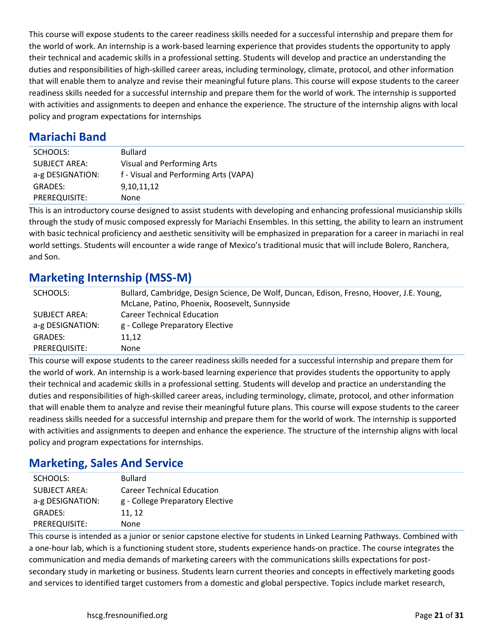This course will expose students to the career readiness skills needed for a successful internship and prepare them for the world of work. An internship is a work-based learning experience that provides students the opportunity to apply their technical and academic skills in a professional setting. Students will develop and practice an understanding the duties and responsibilities of high-skilled career areas, including terminology, climate, protocol, and other information that will enable them to analyze and revise their meaningful future plans. This course will expose students to the career readiness skills needed for a successful internship and prepare them for the world of work. The internship is supported with activities and assignments to deepen and enhance the experience. The structure of the internship aligns with local policy and program expectations for internships

## **Mariachi Band**

| SCHOOLS:             | <b>Bullard</b>                        |
|----------------------|---------------------------------------|
| <b>SUBJECT AREA:</b> | Visual and Performing Arts            |
| a-g DESIGNATION:     | f - Visual and Performing Arts (VAPA) |
| <b>GRADES:</b>       | 9,10,11,12                            |
| PREREQUISITE:        | None                                  |

This is an introductory course designed to assist students with developing and enhancing professional musicianship skills through the study of music composed expressly for Mariachi Ensembles. In this setting, the ability to learn an instrument with basic technical proficiency and aesthetic sensitivity will be emphasized in preparation for a career in mariachi in real world settings. Students will encounter a wide range of Mexico's traditional music that will include Bolero, Ranchera, and Son.

# **Marketing Internship (MSS-M)**

| SCHOOLS:         | Bullard, Cambridge, Design Science, De Wolf, Duncan, Edison, Fresno, Hoover, J.E. Young, |
|------------------|------------------------------------------------------------------------------------------|
|                  | McLane, Patino, Phoenix, Roosevelt, Sunnyside                                            |
| SUBJECT AREA:    | <b>Career Technical Education</b>                                                        |
| a-g DESIGNATION: | g - College Preparatory Elective                                                         |
| <b>GRADES:</b>   | 11.12                                                                                    |
| PREREQUISITE:    | None                                                                                     |

This course will expose students to the career readiness skills needed for a successful internship and prepare them for the world of work. An internship is a work-based learning experience that provides students the opportunity to apply their technical and academic skills in a professional setting. Students will develop and practice an understanding the duties and responsibilities of high-skilled career areas, including terminology, climate, protocol, and other information that will enable them to analyze and revise their meaningful future plans. This course will expose students to the career readiness skills needed for a successful internship and prepare them for the world of work. The internship is supported with activities and assignments to deepen and enhance the experience. The structure of the internship aligns with local policy and program expectations for internships.

## **Marketing, Sales And Service**

| SCHOOLS:             | <b>Bullard</b>                    |
|----------------------|-----------------------------------|
| <b>SUBJECT AREA:</b> | <b>Career Technical Education</b> |
| a-g DESIGNATION:     | g - College Preparatory Elective  |
| <b>GRADES:</b>       | 11, 12                            |
| PREREQUISITE:        | None                              |

This course is intended as a junior or senior capstone elective for students in Linked Learning Pathways. Combined with a one-hour lab, which is a functioning student store, students experience hands-on practice. The course integrates the communication and media demands of marketing careers with the communications skills expectations for postsecondary study in marketing or business. Students learn current theories and concepts in effectively marketing goods and services to identified target customers from a domestic and global perspective. Topics include market research,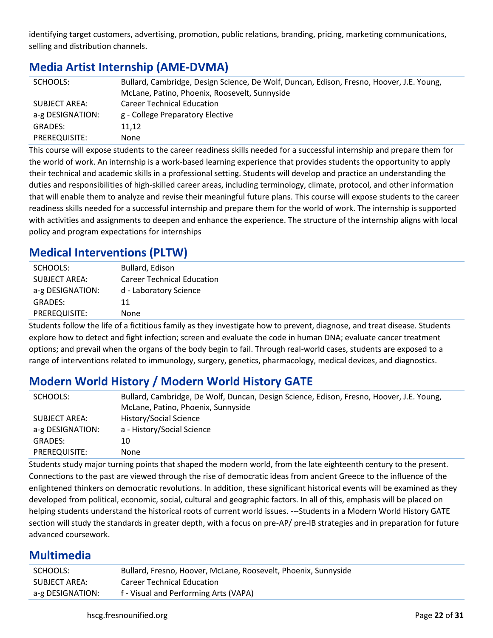identifying target customers, advertising, promotion, public relations, branding, pricing, marketing communications, selling and distribution channels.

# **Media Artist Internship (AME-DVMA)**

| SCHOOLS:         | Bullard, Cambridge, Design Science, De Wolf, Duncan, Edison, Fresno, Hoover, J.E. Young, |
|------------------|------------------------------------------------------------------------------------------|
|                  | McLane, Patino, Phoenix, Roosevelt, Sunnyside                                            |
| SUBJECT AREA:    | <b>Career Technical Education</b>                                                        |
| a-g DESIGNATION: | g - College Preparatory Elective                                                         |
| GRADES:          | 11.12                                                                                    |
| PREREQUISITE:    | None                                                                                     |

This course will expose students to the career readiness skills needed for a successful internship and prepare them for the world of work. An internship is a work-based learning experience that provides students the opportunity to apply their technical and academic skills in a professional setting. Students will develop and practice an understanding the duties and responsibilities of high-skilled career areas, including terminology, climate, protocol, and other information that will enable them to analyze and revise their meaningful future plans. This course will expose students to the career readiness skills needed for a successful internship and prepare them for the world of work. The internship is supported with activities and assignments to deepen and enhance the experience. The structure of the internship aligns with local policy and program expectations for internships

# **Medical Interventions (PLTW)**

| SCHOOLS:             | Bullard, Edison                   |
|----------------------|-----------------------------------|
| <b>SUBJECT AREA:</b> | <b>Career Technical Education</b> |
| a-g DESIGNATION:     | d - Laboratory Science            |
| <b>GRADES:</b>       | 11                                |
| PREREQUISITE:        | None                              |

Students follow the life of a fictitious family as they investigate how to prevent, diagnose, and treat disease. Students explore how to detect and fight infection; screen and evaluate the code in human DNA; evaluate cancer treatment options; and prevail when the organs of the body begin to fail. Through real-world cases, students are exposed to a range of interventions related to immunology, surgery, genetics, pharmacology, medical devices, and diagnostics.

# **Modern World History / Modern World History GATE**

| SCHOOLS:         | Bullard, Cambridge, De Wolf, Duncan, Design Science, Edison, Fresno, Hoover, J.E. Young, |
|------------------|------------------------------------------------------------------------------------------|
|                  | McLane, Patino, Phoenix, Sunnyside                                                       |
| SUBJECT AREA:    | History/Social Science                                                                   |
| a-g DESIGNATION: | a - History/Social Science                                                               |
| GRADES:          | 10                                                                                       |
| PREREQUISITE:    | None                                                                                     |

Students study major turning points that shaped the modern world, from the late eighteenth century to the present. Connections to the past are viewed through the rise of democratic ideas from ancient Greece to the influence of the enlightened thinkers on democratic revolutions. In addition, these significant historical events will be examined as they developed from political, economic, social, cultural and geographic factors. In all of this, emphasis will be placed on helping students understand the historical roots of current world issues. ---Students in a Modern World History GATE section will study the standards in greater depth, with a focus on pre-AP/ pre-IB strategies and in preparation for future advanced coursework.

## **Multimedia**

| SCHOOLS:         | Bullard, Fresno, Hoover, McLane, Roosevelt, Phoenix, Sunnyside |
|------------------|----------------------------------------------------------------|
| SUBJECT AREA:    | <b>Career Technical Education</b>                              |
| a-g DESIGNATION: | f - Visual and Performing Arts (VAPA)                          |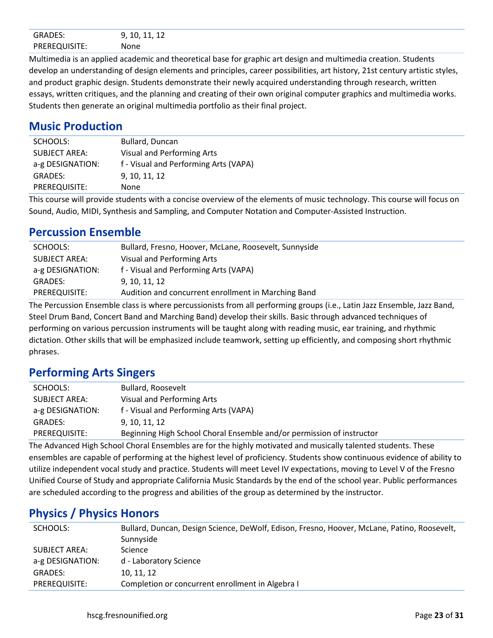| <b>GRADES:</b> | 10 L<br>. .<br>.<br>- -<br>. |
|----------------|------------------------------|
| PREREQUISITE:  | None                         |

Multimedia is an applied academic and theoretical base for graphic art design and multimedia creation. Students develop an understanding of design elements and principles, career possibilities, art history, 21st century artistic styles, and product graphic design. Students demonstrate their newly acquired understanding through research, written essays, written critiques, and the planning and creating of their own original computer graphics and multimedia works. Students then generate an original multimedia portfolio as their final project.

#### **Music Production**

| SCHOOLS:             | Bullard, Duncan                       |
|----------------------|---------------------------------------|
| <b>SUBJECT AREA:</b> | Visual and Performing Arts            |
| a-g DESIGNATION:     | f - Visual and Performing Arts (VAPA) |
| <b>GRADES:</b>       | 9, 10, 11, 12                         |
| PREREQUISITE:        | None                                  |
| $-1$ .<br>$\cdots$   | $\cdots$<br>.<br>$-1$                 |

This course will provide students with a concise overview of the elements of music technology. This course will focus on Sound, Audio, MIDI, Synthesis and Sampling, and Computer Notation and Computer-Assisted Instruction.

#### **Percussion Ensemble**

| SCHOOLS:             | Bullard, Fresno, Hoover, McLane, Roosevelt, Sunnyside |
|----------------------|-------------------------------------------------------|
| <b>SUBJECT AREA:</b> | Visual and Performing Arts                            |
| a-g DESIGNATION:     | f - Visual and Performing Arts (VAPA)                 |
| <b>GRADES:</b>       | 9, 10, 11, 12                                         |
| PREREQUISITE:        | Audition and concurrent enrollment in Marching Band   |

The Percussion Ensemble class is where percussionists from all performing groups (i.e., Latin Jazz Ensemble, Jazz Band, Steel Drum Band, Concert Band and Marching Band) develop their skills. Basic through advanced techniques of performing on various percussion instruments will be taught along with reading music, ear training, and rhythmic dictation. Other skills that will be emphasized include teamwork, setting up efficiently, and composing short rhythmic phrases.

#### **Performing Arts Singers**

| SCHOOLS:         | Bullard, Roosevelt                                                    |
|------------------|-----------------------------------------------------------------------|
| SUBJECT AREA:    | Visual and Performing Arts                                            |
| a-g DESIGNATION: | f - Visual and Performing Arts (VAPA)                                 |
| GRADES:          | 9, 10, 11, 12                                                         |
| PREREQUISITE:    | Beginning High School Choral Ensemble and/or permission of instructor |
|                  |                                                                       |

The Advanced High School Choral Ensembles are for the highly motivated and musically talented students. These ensembles are capable of performing at the highest level of proficiency. Students show continuous evidence of ability to utilize independent vocal study and practice. Students will meet Level IV expectations, moving to Level V of the Fresno Unified Course of Study and appropriate California Music Standards by the end of the school year. Public performances are scheduled according to the progress and abilities of the group as determined by the instructor.

## **Physics / Physics Honors**

| SCHOOLS:         | Bullard, Duncan, Design Science, DeWolf, Edison, Fresno, Hoover, McLane, Patino, Roosevelt, |
|------------------|---------------------------------------------------------------------------------------------|
|                  | Sunnyside                                                                                   |
| SUBJECT AREA:    | <b>Science</b>                                                                              |
| a-g DESIGNATION: | d - Laboratory Science                                                                      |
| <b>GRADES:</b>   | 10, 11, 12                                                                                  |
| PREREQUISITE:    | Completion or concurrent enrollment in Algebra I                                            |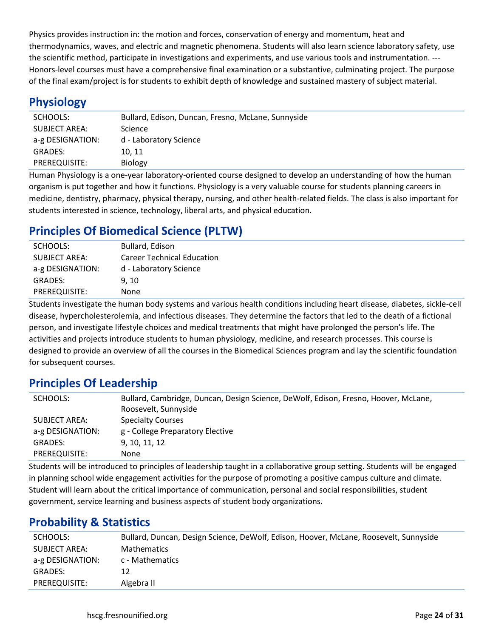Physics provides instruction in: the motion and forces, conservation of energy and momentum, heat and thermodynamics, waves, and electric and magnetic phenomena. Students will also learn science laboratory safety, use the scientific method, participate in investigations and experiments, and use various tools and instrumentation. --- Honors-level courses must have a comprehensive final examination or a substantive, culminating project. The purpose of the final exam/project is for students to exhibit depth of knowledge and sustained mastery of subject material.

#### **Physiology**

| SCHOOLS:             | Bullard, Edison, Duncan, Fresno, McLane, Sunnyside |
|----------------------|----------------------------------------------------|
| <b>SUBJECT AREA:</b> | Science                                            |
| a-g DESIGNATION:     | d - Laboratory Science                             |
| <b>GRADES:</b>       | 10, 11                                             |
| PREREQUISITE:        | <b>Biology</b>                                     |
|                      |                                                    |

Human Physiology is a one-year laboratory-oriented course designed to develop an understanding of how the human organism is put together and how it functions. Physiology is a very valuable course for students planning careers in medicine, dentistry, pharmacy, physical therapy, nursing, and other health-related fields. The class is also important for students interested in science, technology, liberal arts, and physical education.

# **Principles Of Biomedical Science (PLTW)**

| SCHOOLS:             | Bullard, Edison                   |
|----------------------|-----------------------------------|
| <b>SUBJECT AREA:</b> | <b>Career Technical Education</b> |
| a-g DESIGNATION:     | d - Laboratory Science            |
| <b>GRADES:</b>       | 9.10                              |
| PREREQUISITE:        | None                              |
|                      |                                   |

Students investigate the human body systems and various health conditions including heart disease, diabetes, sickle-cell disease, hypercholesterolemia, and infectious diseases. They determine the factors that led to the death of a fictional person, and investigate lifestyle choices and medical treatments that might have prolonged the person's life. The activities and projects introduce students to human physiology, medicine, and research processes. This course is designed to provide an overview of all the courses in the Biomedical Sciences program and lay the scientific foundation for subsequent courses.

#### **Principles Of Leadership**

| SCHOOLS:                          | Bullard, Cambridge, Duncan, Design Science, DeWolf, Edison, Fresno, Hoover, McLane,<br>Roosevelt, Sunnyside |
|-----------------------------------|-------------------------------------------------------------------------------------------------------------|
| SUBJECT AREA:<br>a-g DESIGNATION: | <b>Specialty Courses</b><br>g - College Preparatory Elective                                                |
| GRADES:                           | 9, 10, 11, 12                                                                                               |
| PREREQUISITE:                     | None.                                                                                                       |

Students will be introduced to principles of leadership taught in a collaborative group setting. Students will be engaged in planning school wide engagement activities for the purpose of promoting a positive campus culture and climate. Student will learn about the critical importance of communication, personal and social responsibilities, student government, service learning and business aspects of student body organizations.

## **Probability & Statistics**

| SCHOOLS:         | Bullard, Duncan, Design Science, DeWolf, Edison, Hoover, McLane, Roosevelt, Sunnyside |
|------------------|---------------------------------------------------------------------------------------|
| SUBJECT AREA:    | <b>Mathematics</b>                                                                    |
| a-g DESIGNATION: | c - Mathematics                                                                       |
| GRADES:          | 12                                                                                    |
| PREREQUISITE:    | Algebra II                                                                            |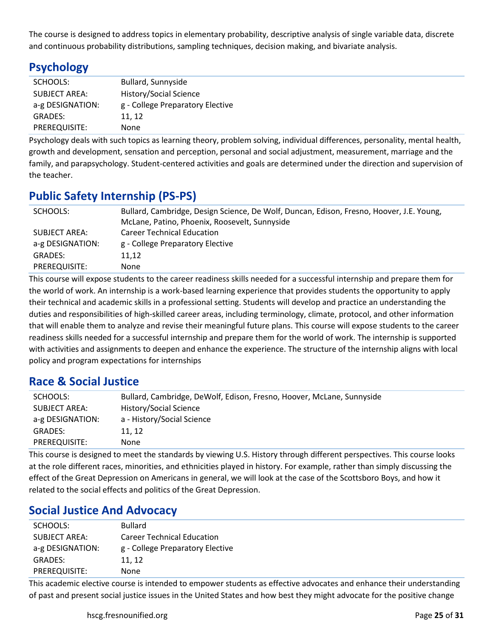The course is designed to address topics in elementary probability, descriptive analysis of single variable data, discrete and continuous probability distributions, sampling techniques, decision making, and bivariate analysis.

# **Psychology**

| SCHOOLS:             | Bullard, Sunnyside               |
|----------------------|----------------------------------|
| <b>SUBJECT AREA:</b> | History/Social Science           |
| a-g DESIGNATION:     | g - College Preparatory Elective |
| <b>GRADES:</b>       | 11, 12                           |
| PREREQUISITE:        | None                             |

Psychology deals with such topics as learning theory, problem solving, individual differences, personality, mental health, growth and development, sensation and perception, personal and social adjustment, measurement, marriage and the family, and parapsychology. Student-centered activities and goals are determined under the direction and supervision of the teacher.

# **Public Safety Internship (PS-PS)**

| SCHOOLS:         | Bullard, Cambridge, Design Science, De Wolf, Duncan, Edison, Fresno, Hoover, J.E. Young, |
|------------------|------------------------------------------------------------------------------------------|
|                  | McLane, Patino, Phoenix, Roosevelt, Sunnyside                                            |
| SUBJECT AREA:    | <b>Career Technical Education</b>                                                        |
| a-g DESIGNATION: | g - College Preparatory Elective                                                         |
| <b>GRADES:</b>   | 11.12                                                                                    |
| PREREQUISITE:    | None                                                                                     |

This course will expose students to the career readiness skills needed for a successful internship and prepare them for the world of work. An internship is a work-based learning experience that provides students the opportunity to apply their technical and academic skills in a professional setting. Students will develop and practice an understanding the duties and responsibilities of high-skilled career areas, including terminology, climate, protocol, and other information that will enable them to analyze and revise their meaningful future plans. This course will expose students to the career readiness skills needed for a successful internship and prepare them for the world of work. The internship is supported with activities and assignments to deepen and enhance the experience. The structure of the internship aligns with local policy and program expectations for internships

## **Race & Social Justice**

| SCHOOLS:             | Bullard, Cambridge, DeWolf, Edison, Fresno, Hoover, McLane, Sunnyside |
|----------------------|-----------------------------------------------------------------------|
| <b>SUBJECT AREA:</b> | History/Social Science                                                |
| a-g DESIGNATION:     | a - History/Social Science                                            |
| GRADES:              | 11.12                                                                 |
| PREREQUISITE:        | None                                                                  |

This course is designed to meet the standards by viewing U.S. History through different perspectives. This course looks at the role different races, minorities, and ethnicities played in history. For example, rather than simply discussing the effect of the Great Depression on Americans in general, we will look at the case of the Scottsboro Boys, and how it related to the social effects and politics of the Great Depression.

## **Social Justice And Advocacy**

| SCHOOLS:             | <b>Bullard</b>                    |
|----------------------|-----------------------------------|
| <b>SUBJECT AREA:</b> | <b>Career Technical Education</b> |
| a-g DESIGNATION:     | g - College Preparatory Elective  |
| <b>GRADES:</b>       | 11, 12                            |
| PREREQUISITE:        | None                              |
|                      |                                   |

This academic elective course is intended to empower students as effective advocates and enhance their understanding of past and present social justice issues in the United States and how best they might advocate for the positive change

hscg.fresnounified.org **Page 25** of **31 Page 25** of **31**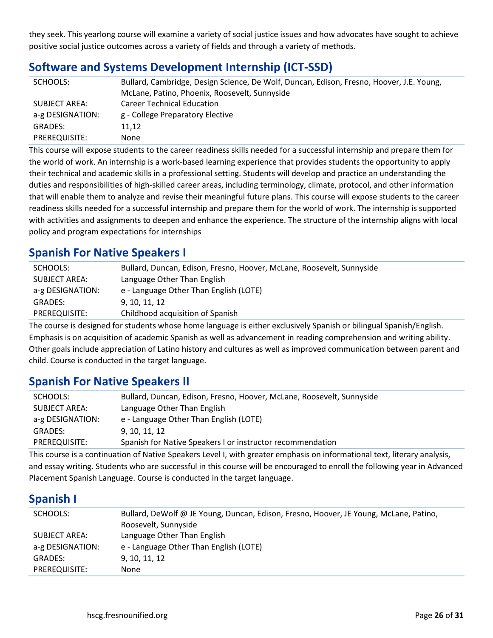they seek. This yearlong course will examine a variety of social justice issues and how advocates have sought to achieve positive social justice outcomes across a variety of fields and through a variety of methods.

# **Software and Systems Development Internship (ICT-SSD)**

| SCHOOLS:         | Bullard, Cambridge, Design Science, De Wolf, Duncan, Edison, Fresno, Hoover, J.E. Young, |
|------------------|------------------------------------------------------------------------------------------|
|                  | McLane, Patino, Phoenix, Roosevelt, Sunnyside                                            |
| SUBJECT AREA:    | <b>Career Technical Education</b>                                                        |
| a-g DESIGNATION: | g - College Preparatory Elective                                                         |
| GRADES:          | 11,12                                                                                    |
| PREREQUISITE:    | <b>None</b>                                                                              |

This course will expose students to the career readiness skills needed for a successful internship and prepare them for the world of work. An internship is a work-based learning experience that provides students the opportunity to apply their technical and academic skills in a professional setting. Students will develop and practice an understanding the duties and responsibilities of high-skilled career areas, including terminology, climate, protocol, and other information that will enable them to analyze and revise their meaningful future plans. This course will expose students to the career readiness skills needed for a successful internship and prepare them for the world of work. The internship is supported with activities and assignments to deepen and enhance the experience. The structure of the internship aligns with local policy and program expectations for internships

## **Spanish For Native Speakers I**

| SCHOOLS:         | Bullard, Duncan, Edison, Fresno, Hoover, McLane, Roosevelt, Sunnyside |
|------------------|-----------------------------------------------------------------------|
| SUBJECT AREA:    | Language Other Than English                                           |
| a-g DESIGNATION: | e - Language Other Than English (LOTE)                                |
| GRADES:          | 9, 10, 11, 12                                                         |
| PREREQUISITE:    | Childhood acquisition of Spanish                                      |

The course is designed for students whose home language is either exclusively Spanish or bilingual Spanish/English. Emphasis is on acquisition of academic Spanish as well as advancement in reading comprehension and writing ability. Other goals include appreciation of Latino history and cultures as well as improved communication between parent and child. Course is conducted in the target language.

# **Spanish For Native Speakers II**

| SCHOOLS:         | Bullard, Duncan, Edison, Fresno, Hoover, McLane, Roosevelt, Sunnyside |
|------------------|-----------------------------------------------------------------------|
| SUBJECT AREA:    | Language Other Than English                                           |
| a-g DESIGNATION: | e - Language Other Than English (LOTE)                                |
| GRADES:          | 9.10.11.12                                                            |
| PREREQUISITE:    | Spanish for Native Speakers I or instructor recommendation            |

This course is a continuation of Native Speakers Level I, with greater emphasis on informational text, literary analysis, and essay writing. Students who are successful in this course will be encouraged to enroll the following year in Advanced Placement Spanish Language. Course is conducted in the target language.

# **Spanish I**

| SCHOOLS:                          | Bullard, DeWolf @ JE Young, Duncan, Edison, Fresno, Hoover, JE Young, McLane, Patino,<br>Roosevelt, Sunnyside |
|-----------------------------------|---------------------------------------------------------------------------------------------------------------|
| SUBJECT AREA:<br>a-g DESIGNATION: | Language Other Than English<br>e - Language Other Than English (LOTE)                                         |
| <b>GRADES:</b>                    | 9, 10, 11, 12                                                                                                 |
| PREREQUISITE:                     | None                                                                                                          |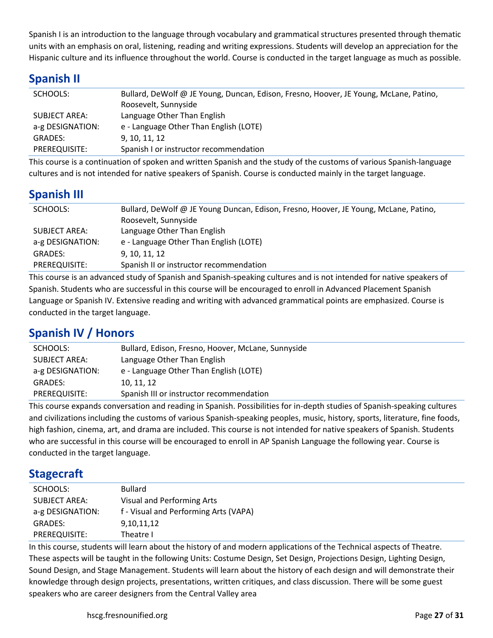Spanish I is an introduction to the language through vocabulary and grammatical structures presented through thematic units with an emphasis on oral, listening, reading and writing expressions. Students will develop an appreciation for the Hispanic culture and its influence throughout the world. Course is conducted in the target language as much as possible.

## **Spanish II**

| SCHOOLS:         | Bullard, DeWolf @ JE Young, Duncan, Edison, Fresno, Hoover, JE Young, McLane, Patino,<br>Roosevelt, Sunnyside |
|------------------|---------------------------------------------------------------------------------------------------------------|
| SUBJECT AREA:    | Language Other Than English                                                                                   |
| a-g DESIGNATION: | e - Language Other Than English (LOTE)                                                                        |
| <b>GRADES:</b>   | 9.10.11.12                                                                                                    |
| PREREQUISITE:    | Spanish I or instructor recommendation                                                                        |

This course is a continuation of spoken and written Spanish and the study of the customs of various Spanish-language cultures and is not intended for native speakers of Spanish. Course is conducted mainly in the target language.

## **Spanish III**

| SCHOOLS:         | Bullard, DeWolf @ JE Young Duncan, Edison, Fresno, Hoover, JE Young, McLane, Patino,<br>Roosevelt, Sunnyside |
|------------------|--------------------------------------------------------------------------------------------------------------|
| SUBJECT AREA:    | Language Other Than English                                                                                  |
| a-g DESIGNATION: | e - Language Other Than English (LOTE)                                                                       |
| <b>GRADES:</b>   | 9, 10, 11, 12                                                                                                |
| PREREQUISITE:    | Spanish II or instructor recommendation                                                                      |

This course is an advanced study of Spanish and Spanish-speaking cultures and is not intended for native speakers of Spanish. Students who are successful in this course will be encouraged to enroll in Advanced Placement Spanish Language or Spanish IV. Extensive reading and writing with advanced grammatical points are emphasized. Course is conducted in the target language.

# **Spanish IV / Honors**

| SCHOOLS:             | Bullard, Edison, Fresno, Hoover, McLane, Sunnyside |
|----------------------|----------------------------------------------------|
| <b>SUBJECT AREA:</b> | Language Other Than English                        |
| a-g DESIGNATION:     | e - Language Other Than English (LOTE)             |
| <b>GRADES:</b>       | 10.11.12                                           |
| PREREQUISITE:        | Spanish III or instructor recommendation           |

This course expands conversation and reading in Spanish. Possibilities for in-depth studies of Spanish-speaking cultures and civilizations including the customs of various Spanish-speaking peoples, music, history, sports, literature, fine foods, high fashion, cinema, art, and drama are included. This course is not intended for native speakers of Spanish. Students who are successful in this course will be encouraged to enroll in AP Spanish Language the following year. Course is conducted in the target language.

#### **Stagecraft**

| SCHOOLS:         | <b>Bullard</b>                        |
|------------------|---------------------------------------|
| SUBJECT AREA:    | Visual and Performing Arts            |
| a-g DESIGNATION: | f - Visual and Performing Arts (VAPA) |
| <b>GRADES:</b>   | 9,10,11,12                            |
| PREREQUISITE:    | Theatre I                             |
|                  |                                       |

In this course, students will learn about the history of and modern applications of the Technical aspects of Theatre. These aspects will be taught in the following Units: Costume Design, Set Design, Projections Design, Lighting Design, Sound Design, and Stage Management. Students will learn about the history of each design and will demonstrate their knowledge through design projects, presentations, written critiques, and class discussion. There will be some guest speakers who are career designers from the Central Valley area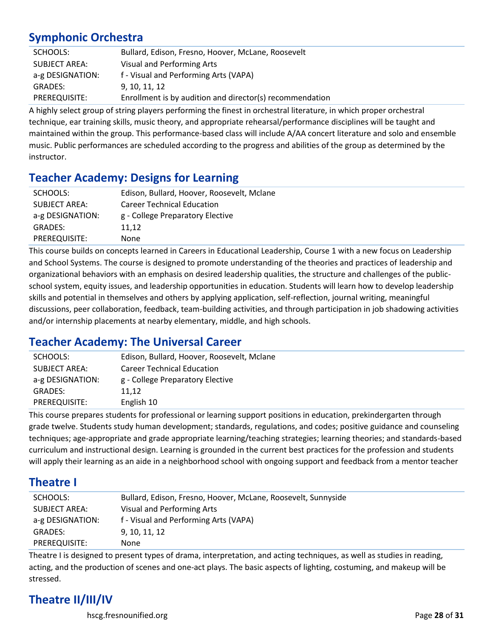# **Symphonic Orchestra**

| SCHOOLS:             | Bullard, Edison, Fresno, Hoover, McLane, Roosevelt       |
|----------------------|----------------------------------------------------------|
| <b>SUBJECT AREA:</b> | Visual and Performing Arts                               |
| a-g DESIGNATION:     | f - Visual and Performing Arts (VAPA)                    |
| <b>GRADES:</b>       | 9. 10. 11. 12                                            |
| PREREQUISITE:        | Enrollment is by audition and director(s) recommendation |

A highly select group of string players performing the finest in orchestral literature, in which proper orchestral technique, ear training skills, music theory, and appropriate rehearsal/performance disciplines will be taught and maintained within the group. This performance-based class will include A/AA concert literature and solo and ensemble music. Public performances are scheduled according to the progress and abilities of the group as determined by the instructor.

## **Teacher Academy: Designs for Learning**

| SCHOOLS:             | Edison, Bullard, Hoover, Roosevelt, Mclane |
|----------------------|--------------------------------------------|
| <b>SUBJECT AREA:</b> | <b>Career Technical Education</b>          |
| a-g DESIGNATION:     | g - College Preparatory Elective           |
| <b>GRADES:</b>       | 11.12                                      |
| PREREQUISITE:        | None                                       |

This course builds on concepts learned in Careers in Educational Leadership, Course 1 with a new focus on Leadership and School Systems. The course is designed to promote understanding of the theories and practices of leadership and organizational behaviors with an emphasis on desired leadership qualities, the structure and challenges of the publicschool system, equity issues, and leadership opportunities in education. Students will learn how to develop leadership skills and potential in themselves and others by applying application, self-reflection, journal writing, meaningful discussions, peer collaboration, feedback, team-building activities, and through participation in job shadowing activities and/or internship placements at nearby elementary, middle, and high schools.

## **Teacher Academy: The Universal Career**

| SCHOOLS:             | Edison, Bullard, Hoover, Roosevelt, Mclane |
|----------------------|--------------------------------------------|
| <b>SUBJECT AREA:</b> | <b>Career Technical Education</b>          |
| a-g DESIGNATION:     | g - College Preparatory Elective           |
| <b>GRADES:</b>       | 11.12                                      |
| PREREQUISITE:        | English 10                                 |

This course prepares students for professional or learning support positions in education, prekindergarten through grade twelve. Students study human development; standards, regulations, and codes; positive guidance and counseling techniques; age-appropriate and grade appropriate learning/teaching strategies; learning theories; and standards-based curriculum and instructional design. Learning is grounded in the current best practices for the profession and students will apply their learning as an aide in a neighborhood school with ongoing support and feedback from a mentor teacher

## **Theatre I**

| SCHOOLS:             | Bullard, Edison, Fresno, Hoover, McLane, Roosevelt, Sunnyside |
|----------------------|---------------------------------------------------------------|
| <b>SUBJECT AREA:</b> | Visual and Performing Arts                                    |
| a-g DESIGNATION:     | f - Visual and Performing Arts (VAPA)                         |
| GRADES:              | 9. 10. 11. 12                                                 |
| PREREQUISITE:        | None                                                          |

Theatre I is designed to present types of drama, interpretation, and acting techniques, as well as studies in reading, acting, and the production of scenes and one-act plays. The basic aspects of lighting, costuming, and makeup will be stressed.

# **Theatre II/III/IV**

hscg.fresnounified.org Page **28** of **31**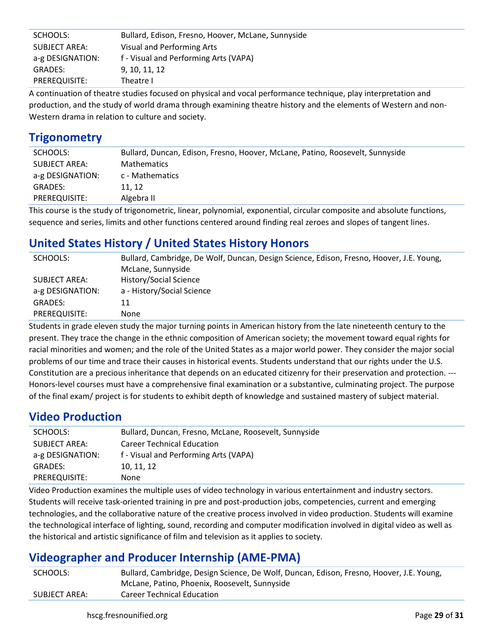| SCHOOLS:         | Bullard, Edison, Fresno, Hoover, McLane, Sunnyside |
|------------------|----------------------------------------------------|
| SUBJECT AREA:    | Visual and Performing Arts                         |
| a-g DESIGNATION: | f - Visual and Performing Arts (VAPA)              |
| <b>GRADES:</b>   | 9, 10, 11, 12                                      |
| PREREQUISITE:    | Theatre I                                          |

A continuation of theatre studies focused on physical and vocal performance technique, play interpretation and production, and the study of world drama through examining theatre history and the elements of Western and non-Western drama in relation to culture and society.

#### **Trigonometry**

| SCHOOLS:         | Bullard, Duncan, Edison, Fresno, Hoover, McLane, Patino, Roosevelt, Sunnyside |
|------------------|-------------------------------------------------------------------------------|
| SUBJECT AREA:    | <b>Mathematics</b>                                                            |
| a-g DESIGNATION: | c - Mathematics                                                               |
| <b>GRADES:</b>   | 11.12                                                                         |
| PREREQUISITE:    | Algebra II                                                                    |

This course is the study of trigonometric, linear, polynomial, exponential, circular composite and absolute functions, sequence and series, limits and other functions centered around finding real zeroes and slopes of tangent lines.

# **United States History / United States History Honors**

| SCHOOLS:             | Bullard, Cambridge, De Wolf, Duncan, Design Science, Edison, Fresno, Hoover, J.E. Young, |
|----------------------|------------------------------------------------------------------------------------------|
|                      | McLane, Sunnyside                                                                        |
| <b>SUBJECT AREA:</b> | History/Social Science                                                                   |
| a-g DESIGNATION:     | a - History/Social Science                                                               |
| GRADES:              | 11                                                                                       |
| PREREQUISITE:        | None                                                                                     |

Students in grade eleven study the major turning points in American history from the late nineteenth century to the present. They trace the change in the ethnic composition of American society; the movement toward equal rights for racial minorities and women; and the role of the United States as a major world power. They consider the major social problems of our time and trace their causes in historical events. Students understand that our rights under the U.S. Constitution are a precious inheritance that depends on an educated citizenry for their preservation and protection. --- Honors-level courses must have a comprehensive final examination or a substantive, culminating project. The purpose of the final exam/ project is for students to exhibit depth of knowledge and sustained mastery of subject material.

# **Video Production**

| SCHOOLS:         | Bullard, Duncan, Fresno, McLane, Roosevelt, Sunnyside |
|------------------|-------------------------------------------------------|
| SUBJECT AREA:    | <b>Career Technical Education</b>                     |
| a-g DESIGNATION: | f - Visual and Performing Arts (VAPA)                 |
| <b>GRADES:</b>   | 10, 11, 12                                            |
| PREREQUISITE:    | None                                                  |
|                  |                                                       |

Video Production examines the multiple uses of video technology in various entertainment and industry sectors. Students will receive task-oriented training in pre and post-production jobs, competencies, current and emerging technologies, and the collaborative nature of the creative process involved in video production. Students will examine the technological interface of lighting, sound, recording and computer modification involved in digital video as well as the historical and artistic significance of film and television as it applies to society.

## **Videographer and Producer Internship (AME-PMA)**

| SCHOOLS:      | Bullard, Cambridge, Design Science, De Wolf, Duncan, Edison, Fresno, Hoover, J.E. Young, |
|---------------|------------------------------------------------------------------------------------------|
|               | McLane, Patino, Phoenix, Roosevelt, Sunnyside                                            |
| SUBJECT AREA: | <b>Career Technical Education</b>                                                        |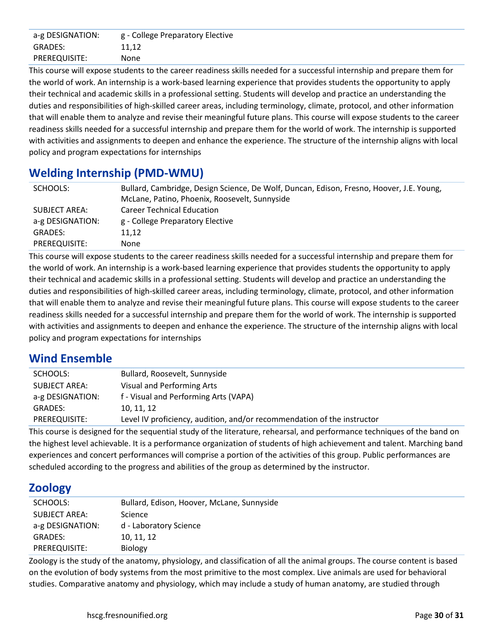| a-g DESIGNATION: | g - College Preparatory Elective |
|------------------|----------------------------------|
| <b>GRADES:</b>   | 11.12                            |
| PREREQUISITE:    | None                             |

This course will expose students to the career readiness skills needed for a successful internship and prepare them for the world of work. An internship is a work-based learning experience that provides students the opportunity to apply their technical and academic skills in a professional setting. Students will develop and practice an understanding the duties and responsibilities of high-skilled career areas, including terminology, climate, protocol, and other information that will enable them to analyze and revise their meaningful future plans. This course will expose students to the career readiness skills needed for a successful internship and prepare them for the world of work. The internship is supported with activities and assignments to deepen and enhance the experience. The structure of the internship aligns with local policy and program expectations for internships

## **Welding Internship (PMD-WMU)**

| SCHOOLS:         | Bullard, Cambridge, Design Science, De Wolf, Duncan, Edison, Fresno, Hoover, J.E. Young, |
|------------------|------------------------------------------------------------------------------------------|
|                  | McLane, Patino, Phoenix, Roosevelt, Sunnyside                                            |
| SUBJECT AREA:    | <b>Career Technical Education</b>                                                        |
| a-g DESIGNATION: | g - College Preparatory Elective                                                         |
| <b>GRADES:</b>   | 11.12                                                                                    |
| PREREQUISITE:    | None                                                                                     |

This course will expose students to the career readiness skills needed for a successful internship and prepare them for the world of work. An internship is a work-based learning experience that provides students the opportunity to apply their technical and academic skills in a professional setting. Students will develop and practice an understanding the duties and responsibilities of high-skilled career areas, including terminology, climate, protocol, and other information that will enable them to analyze and revise their meaningful future plans. This course will expose students to the career readiness skills needed for a successful internship and prepare them for the world of work. The internship is supported with activities and assignments to deepen and enhance the experience. The structure of the internship aligns with local policy and program expectations for internships

## **Wind Ensemble**

| SCHOOLS:         | Bullard, Roosevelt, Sunnyside                                           |
|------------------|-------------------------------------------------------------------------|
| SUBJECT AREA:    | Visual and Performing Arts                                              |
| a-g DESIGNATION: | f - Visual and Performing Arts (VAPA)                                   |
| <b>GRADES:</b>   | 10, 11, 12                                                              |
| PREREQUISITE:    | Level IV proficiency, audition, and/or recommendation of the instructor |

This course is designed for the sequential study of the literature, rehearsal, and performance techniques of the band on the highest level achievable. It is a performance organization of students of high achievement and talent. Marching band experiences and concert performances will comprise a portion of the activities of this group. Public performances are scheduled according to the progress and abilities of the group as determined by the instructor.

## **Zoology**

| SCHOOLS:             | Bullard, Edison, Hoover, McLane, Sunnyside |
|----------------------|--------------------------------------------|
| <b>SUBJECT AREA:</b> | Science                                    |
| a-g DESIGNATION:     | d - Laboratory Science                     |
| <b>GRADES:</b>       | 10, 11, 12                                 |
| PREREQUISITE:        | <b>Biology</b>                             |

Zoology is the study of the anatomy, physiology, and classification of all the animal groups. The course content is based on the evolution of body systems from the most primitive to the most complex. Live animals are used for behavioral studies. Comparative anatomy and physiology, which may include a study of human anatomy, are studied through